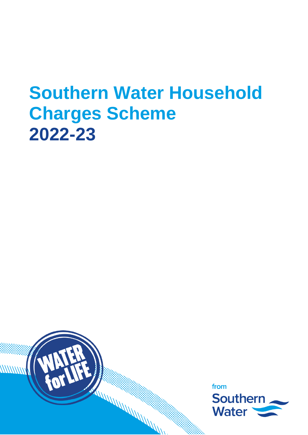# **Southern Water Household Charges Scheme 2022-23**



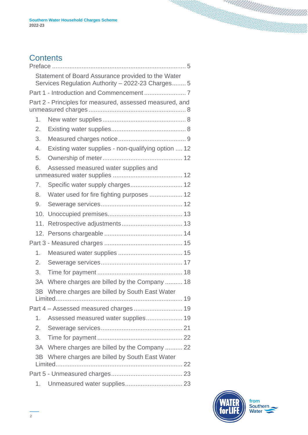### **Contents**

|                  | Statement of Board Assurance provided to the Water<br>Services Regulation Authority - 2022-23 Charges 5 |  |  |
|------------------|---------------------------------------------------------------------------------------------------------|--|--|
|                  |                                                                                                         |  |  |
|                  | Part 2 - Principles for measured, assessed measured, and                                                |  |  |
| 1.               |                                                                                                         |  |  |
| 2.               |                                                                                                         |  |  |
| 3.               |                                                                                                         |  |  |
| $\overline{4}$ . | Existing water supplies - non-qualifying option  12                                                     |  |  |
| 5.               |                                                                                                         |  |  |
| 6.               | Assessed measured water supplies and                                                                    |  |  |
| 7.               | Specific water supply charges 12                                                                        |  |  |
| 8.               | Water used for fire fighting purposes  12                                                               |  |  |
| 9.               |                                                                                                         |  |  |
| 10.              |                                                                                                         |  |  |
| 11.              |                                                                                                         |  |  |
| 12.              |                                                                                                         |  |  |
|                  |                                                                                                         |  |  |
| 1.               |                                                                                                         |  |  |
| 2.               |                                                                                                         |  |  |
| 3.               |                                                                                                         |  |  |
| 3A               | Where charges are billed by the Company  18                                                             |  |  |
| 3B               | Where charges are billed by South East Water                                                            |  |  |
|                  |                                                                                                         |  |  |
|                  |                                                                                                         |  |  |
| 1.               | Assessed measured water supplies 19                                                                     |  |  |
| 2.               |                                                                                                         |  |  |
| 3.               |                                                                                                         |  |  |
| 3A               | Where charges are billed by the Company  22                                                             |  |  |
| 3B               | Where charges are billed by South East Water                                                            |  |  |
|                  |                                                                                                         |  |  |
| 1.               |                                                                                                         |  |  |

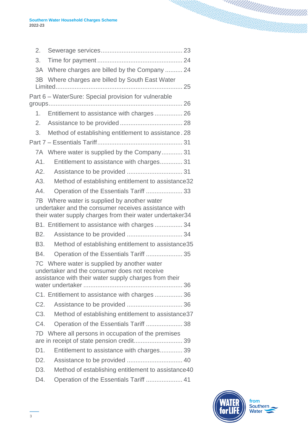|                                                                                                                                                      | 2.               |                                                                                                                                                                 |  |
|------------------------------------------------------------------------------------------------------------------------------------------------------|------------------|-----------------------------------------------------------------------------------------------------------------------------------------------------------------|--|
|                                                                                                                                                      | 3.               |                                                                                                                                                                 |  |
|                                                                                                                                                      | 3A               | Where charges are billed by the Company  24                                                                                                                     |  |
|                                                                                                                                                      |                  | 3B Where charges are billed by South East Water                                                                                                                 |  |
|                                                                                                                                                      |                  | Part 6 - WaterSure: Special provision for vulnerable                                                                                                            |  |
|                                                                                                                                                      |                  |                                                                                                                                                                 |  |
|                                                                                                                                                      | 1.               | Entitlement to assistance with charges  26                                                                                                                      |  |
|                                                                                                                                                      | 2.               |                                                                                                                                                                 |  |
|                                                                                                                                                      | 3.               | Method of establishing entitlement to assistance. 28                                                                                                            |  |
|                                                                                                                                                      |                  |                                                                                                                                                                 |  |
|                                                                                                                                                      |                  | 7A Where water is supplied by the Company 31                                                                                                                    |  |
|                                                                                                                                                      | A1.              | Entitlement to assistance with charges 31                                                                                                                       |  |
|                                                                                                                                                      | A2.              |                                                                                                                                                                 |  |
|                                                                                                                                                      | A3.              | Method of establishing entitlement to assistance32                                                                                                              |  |
|                                                                                                                                                      | A4.              | Operation of the Essentials Tariff  33                                                                                                                          |  |
|                                                                                                                                                      |                  | 7B Where water is supplied by another water<br>undertaker and the consumer receives assistance with<br>their water supply charges from their water undertaker34 |  |
|                                                                                                                                                      |                  | B1. Entitlement to assistance with charges  34                                                                                                                  |  |
|                                                                                                                                                      | B <sub>2</sub> . | Assistance to be provided  34                                                                                                                                   |  |
|                                                                                                                                                      | B <sub>3</sub> . | Method of establishing entitlement to assistance35                                                                                                              |  |
|                                                                                                                                                      | B4.              | Operation of the Essentials Tariff  35                                                                                                                          |  |
| 7C Where water is supplied by another water<br>undertaker and the consumer does not receive<br>assistance with their water supply charges from their |                  |                                                                                                                                                                 |  |
|                                                                                                                                                      |                  | C1. Entitlement to assistance with charges  36                                                                                                                  |  |
|                                                                                                                                                      | C <sub>2</sub> . |                                                                                                                                                                 |  |
|                                                                                                                                                      | C <sub>3</sub> . | Method of establishing entitlement to assistance 37                                                                                                             |  |
|                                                                                                                                                      | C4.              | Operation of the Essentials Tariff  38                                                                                                                          |  |
|                                                                                                                                                      |                  | 7D Where all persons in occupation of the premises                                                                                                              |  |
|                                                                                                                                                      | D1.              | Entitlement to assistance with charges 39                                                                                                                       |  |
|                                                                                                                                                      | D <sub>2</sub> . |                                                                                                                                                                 |  |
|                                                                                                                                                      | D <sub>3</sub> . | Method of establishing entitlement to assistance 40                                                                                                             |  |
|                                                                                                                                                      | D4.              | Operation of the Essentials Tariff  41                                                                                                                          |  |



۰,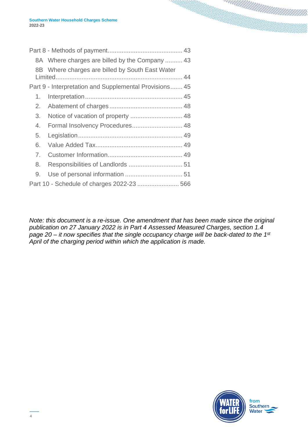|                                            | 8A Where charges are billed by the Company  43         |  |
|--------------------------------------------|--------------------------------------------------------|--|
|                                            | 8B Where charges are billed by South East Water        |  |
|                                            |                                                        |  |
|                                            | Part 9 - Interpretation and Supplemental Provisions 45 |  |
| 1.                                         |                                                        |  |
| 2.                                         |                                                        |  |
| 3.                                         |                                                        |  |
| 4.                                         | Formal Insolvency Procedures 48                        |  |
| 5.                                         |                                                        |  |
| 6.                                         |                                                        |  |
| 7.                                         |                                                        |  |
| 8.                                         |                                                        |  |
| 9.                                         |                                                        |  |
| Part 10 - Schedule of charges 2022-23  566 |                                                        |  |

*Note: this document is a re-issue. One amendment that has been made since the original publication on 27 January 2022 is in Part 4 Assessed Measured Charges, section 1.4 page 20 – it now specifies that the single occupancy charge will be back-dated to the 1st April of the charging period within which the application is made.*

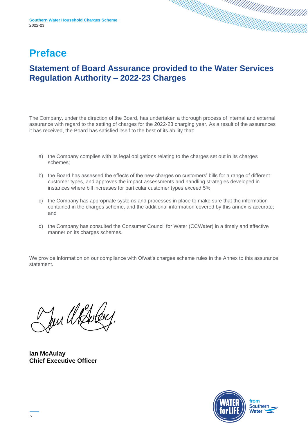## <span id="page-4-0"></span>**Preface**

### <span id="page-4-1"></span>**Statement of Board Assurance provided to the Water Services Regulation Authority – 2022-23 Charges**

The Company, under the direction of the Board, has undertaken a thorough process of internal and external assurance with regard to the setting of charges for the 2022-23 charging year. As a result of the assurances it has received, the Board has satisfied itself to the best of its ability that:

- a) the Company complies with its legal obligations relating to the charges set out in its charges schemes;
- b) the Board has assessed the effects of the new charges on customers' bills for a range of different customer types, and approves the impact assessments and handling strategies developed in instances where bill increases for particular customer types exceed 5%;
- c) the Company has appropriate systems and processes in place to make sure that the information contained in the charges scheme, and the additional information covered by this annex is accurate; and
- d) the Company has consulted the Consumer Council for Water (CCWater) in a timely and effective manner on its charges schemes.

We provide information on our compliance with Ofwat's charges scheme rules in the Annex to this assurance statement.

Jur Warden

**Ian McAulay Chief Executive Officer**

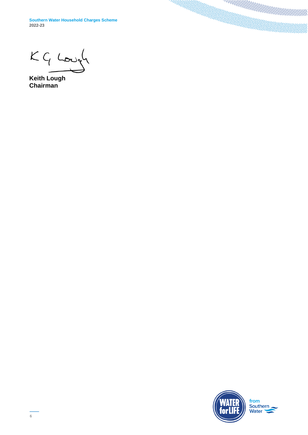**Southern Water Household Charges Scheme 2022-23**

 $K$   $G$  Loyal

**Keith Lough Chairman**

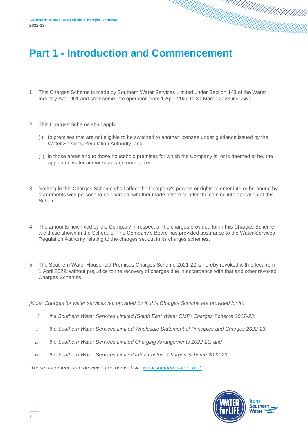## <span id="page-6-0"></span>**Part 1 - Introduction and Commencement**

- 1. This Charges Scheme is made by Southern Water Services Limited under Section 143 of the Water Industry Act 1991 and shall come into operation from 1 April 2022 to 31 March 2023 inclusive.
- 2. This Charges Scheme shall apply
	- (i) to premises that are not eligible to be switched to another licensee under guidance issued by the Water Services Regulation Authority, and
	- (ii) in those areas and to those household premises for which the Company is, or is deemed to be, the appointed water and/or sewerage undertaker.
- 3. Nothing in this Charges Scheme shall affect the Company's powers or rights to enter into or be bound by agreements with persons to be charged, whether made before or after the coming into operation of this Scheme.
- 4. The amounts now fixed by the Company in respect of the charges provided for in this Charges Scheme are those shown in the Schedule. The Company's Board has provided assurance to the Water Services Regulation Authority relating to the charges set out in its charges schemes.
- 5. The Southern Water Household Premises Charges Scheme 2021-22 is hereby revoked with effect from 1 April 2022, without prejudice to the recovery of charges due in accordance with that and other revoked Charges Schemes.

*[Note: Charges for water services not provided for in this Charges Scheme are provided for in:*

- *i. the Southern Water Services Limited (South East Water CMP) Charges Scheme 2022-23;*
- *ii. the Southern Water Services Limited Wholesale Statement of Principles and Charges 2022-23;*
- *iii. the Southern Water Services Limited Charging Arrangements 2022-23, and*
- *iv. the Southern Water Services Limited Infrastructure Charges Scheme 2022-23.*

*These documents can be viewed on our website [www.southernwater.co.uk](http://www.southernwater.co.uk/)*

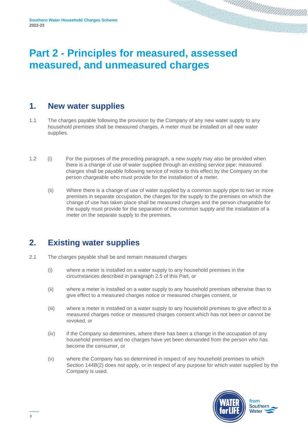## <span id="page-7-0"></span>**Part 2 - Principles for measured, assessed measured, and unmeasured charges**

### <span id="page-7-1"></span>**1. New water supplies**

- 1.1 The charges payable following the provision by the Company of any new water supply to any household premises shall be measured charges. A meter must be installed on all new water supplies.
- 1.2 (i) For the purposes of the preceding paragraph, a new supply may also be provided when there is a change of use of water supplied through an existing service pipe; measured charges shall be payable following service of notice to this effect by the Company on the person chargeable who must provide for the installation of a meter.
	- (ii) Where there is a change of use of water supplied by a common supply pipe to two or more premises in separate occupation, the charges for the supply to the premises on which the change of use has taken place shall be measured charges and the person chargeable for the supply must provide for the separation of the common supply and the installation of a meter on the separate supply to the premises.

### <span id="page-7-2"></span>**2. Existing water supplies**

- 2.1 The charges payable shall be and remain measured charges
	- (i) where a meter is installed on a water supply to any household premises in the circumstances described in paragraph 2.5 of this Part, or
	- (ii) where a meter is installed on a water supply to any household premises otherwise than to give effect to a measured charges notice or measured charges consent, or
	- (iii) where a meter is installed on a water supply to any household premises to give effect to a measured charges notice or measured charges consent which has not been or cannot be revoked, or
	- (iv) if the Company so determines, where there has been a change in the occupation of any household premises and no charges have yet been demanded from the person who has become the consumer, or
	- (v) where the Company has so determined in respect of any household premises to which Section 144B(2) does not apply, or in respect of any purpose for which water supplied by the Company is used.

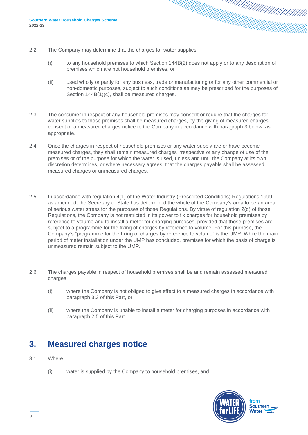- 2.2 The Company may determine that the charges for water supplies
	- (i) to any household premises to which Section 144B(2) does not apply or to any description of premises which are not household premises, or
	- (ii) used wholly or partly for any business, trade or manufacturing or for any other commercial or non-domestic purposes, subject to such conditions as may be prescribed for the purposes of Section 144B(1)(c), shall be measured charges.
- 2.3 The consumer in respect of any household premises may consent or require that the charges for water supplies to those premises shall be measured charges, by the giving of measured charges consent or a measured charges notice to the Company in accordance with paragraph 3 below, as appropriate.
- 2.4 Once the charges in respect of household premises or any water supply are or have become measured charges, they shall remain measured charges irrespective of any change of use of the premises or of the purpose for which the water is used, unless and until the Company at its own discretion determines, or where necessary agrees, that the charges payable shall be assessed measured charges or unmeasured charges.
- 2.5 In accordance with regulation 4(1) of the Water Industry (Prescribed Conditions) Regulations 1999, as amended, the Secretary of State has determined the whole of the Company's area to be an area of serious water stress for the purposes of those Regulations. By virtue of regulation 2(d) of those Regulations, the Company is not restricted in its power to fix charges for household premises by reference to volume and to install a meter for charging purposes, provided that those premises are subject to a programme for the fixing of charges by reference to volume. For this purpose, the Company's "programme for the fixing of charges by reference to volume" is the UMP. While the main period of meter installation under the UMP has concluded, premises for which the basis of charge is unmeasured remain subject to the UMP.
- 2.6 The charges payable in respect of household premises shall be and remain assessed measured charges
	- (i) where the Company is not obliged to give effect to a measured charges in accordance with paragraph 3.3 of this Part, or
	- (ii) where the Company is unable to install a meter for charging purposes in accordance with paragraph 2.5 of this Part.

### <span id="page-8-0"></span>**3. Measured charges notice**

- 3.1 Where
	- (i) water is supplied by the Company to household premises, and

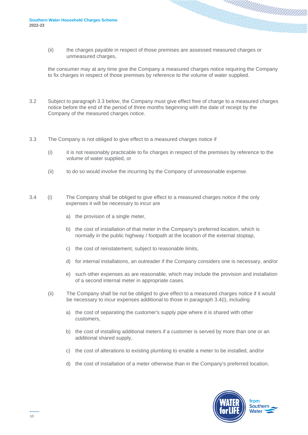(ii) the charges payable in respect of those premises are assessed measured charges or unmeasured charges,

the consumer may at any time give the Company a measured charges notice requiring the Company to fix charges in respect of those premises by reference to the volume of water supplied.

- 3.2 Subject to paragraph 3.3 below, the Company must give effect free of charge to a measured charges notice before the end of the period of three months beginning with the date of receipt by the Company of the measured charges notice.
- 3.3 The Company is not obliged to give effect to a measured charges notice if
	- (i) it is not reasonably practicable to fix charges in respect of the premises by reference to the volume of water supplied, or
	- (ii) to do so would involve the incurring by the Company of unreasonable expense.
- 3.4 (i) The Company shall be obliged to give effect to a measured charges notice if the only expenses it will be necessary to incur are
	- a) the provision of a single meter,
	- b) the cost of installation of that meter in the Company's preferred location, which is normally in the public highway / footpath at the location of the external stoptap,
	- c) the cost of reinstatement, subject to reasonable limits,
	- d) for internal installations, an outreader if the Company considers one is necessary, and/or
	- e) such other expenses as are reasonable, which may include the provision and installation of a second internal meter in appropriate cases.
	- (ii) The Company shall be not be obliged to give effect to a measured charges notice if it would be necessary to incur expenses additional to those in paragraph 3.4(i), including
		- a) the cost of separating the customer's supply pipe where it is shared with other customers,
		- b) the cost of installing additional meters if a customer is served by more than one or an additional shared supply,
		- c) the cost of alterations to existing plumbing to enable a meter to be installed, and/or
		- d) the cost of installation of a meter otherwise than in the Company's preferred location.

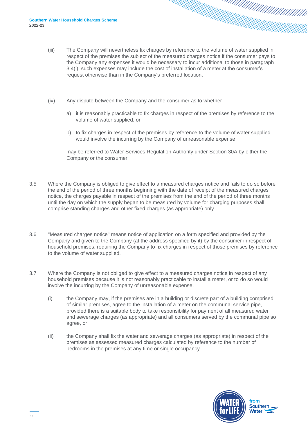- (iii) The Company will nevertheless fix charges by reference to the volume of water supplied in respect of the premises the subject of the measured charges notice if the consumer pays to the Company any expenses it would be necessary to incur additional to those in paragraph 3.4(i); such expenses may include the cost of installation of a meter at the consumer's request otherwise than in the Company's preferred location.
- (iv) Any dispute between the Company and the consumer as to whether
	- a) it is reasonably practicable to fix charges in respect of the premises by reference to the volume of water supplied, or
	- b) to fix charges in respect of the premises by reference to the volume of water supplied would involve the incurring by the Company of unreasonable expense

may be referred to Water Services Regulation Authority under Section 30A by either the Company or the consumer.

- 3.5 Where the Company is obliged to give effect to a measured charges notice and fails to do so before the end of the period of three months beginning with the date of receipt of the measured charges notice, the charges payable in respect of the premises from the end of the period of three months until the day on which the supply began to be measured by volume for charging purposes shall comprise standing charges and other fixed charges (as appropriate) only.
- 3.6 "Measured charges notice" means notice of application on a form specified and provided by the Company and given to the Company (at the address specified by it) by the consumer in respect of household premises, requiring the Company to fix charges in respect of those premises by reference to the volume of water supplied.
- 3.7 Where the Company is not obliged to give effect to a measured charges notice in respect of any household premises because it is not reasonably practicable to install a meter, or to do so would involve the incurring by the Company of unreasonable expense,
	- (i) the Company may, if the premises are in a building or discrete part of a building comprised of similar premises, agree to the installation of a meter on the communal service pipe, provided there is a suitable body to take responsibility for payment of all measured water and sewerage charges (as appropriate) and all consumers served by the communal pipe so agree, or
	- (ii) the Company shall fix the water and sewerage charges (as appropriate) in respect of the premises as assessed measured charges calculated by reference to the number of bedrooms in the premises at any time or single occupancy.

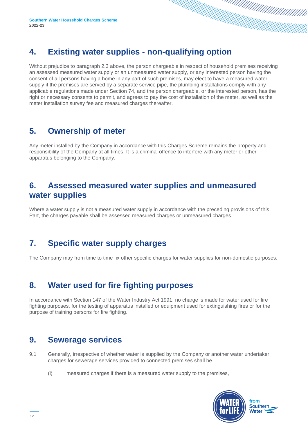### <span id="page-11-0"></span>**4. Existing water supplies - non-qualifying option**

Without prejudice to paragraph 2.3 above, the person chargeable in respect of household premises receiving an assessed measured water supply or an unmeasured water supply, or any interested person having the consent of all persons having a home in any part of such premises, may elect to have a measured water supply if the premises are served by a separate service pipe, the plumbing installations comply with any applicable regulations made under Section 74, and the person chargeable, or the interested person, has the right or necessary consents to permit, and agrees to pay the cost of installation of the meter, as well as the meter installation survey fee and measured charges thereafter.

### <span id="page-11-1"></span>**5. Ownership of meter**

Any meter installed by the Company in accordance with this Charges Scheme remains the property and responsibility of the Company at all times. It is a criminal offence to interfere with any meter or other apparatus belonging to the Company.

### <span id="page-11-2"></span>**6. Assessed measured water supplies and unmeasured water supplies**

Where a water supply is not a measured water supply in accordance with the preceding provisions of this Part, the charges payable shall be assessed measured charges or unmeasured charges.

### <span id="page-11-3"></span>**7. Specific water supply charges**

The Company may from time to time fix other specific charges for water supplies for non-domestic purposes.

### <span id="page-11-4"></span>**8. Water used for fire fighting purposes**

In accordance with Section 147 of the Water Industry Act 1991, no charge is made for water used for fire fighting purposes, for the testing of apparatus installed or equipment used for extinguishing fires or for the purpose of training persons for fire fighting.

### <span id="page-11-5"></span>**9. Sewerage services**

- 9.1 Generally, irrespective of whether water is supplied by the Company or another water undertaker, charges for sewerage services provided to connected premises shall be
	- (i) measured charges if there is a measured water supply to the premises,

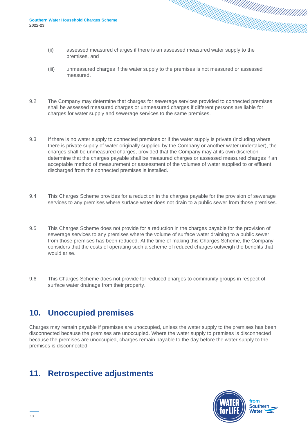- (ii) assessed measured charges if there is an assessed measured water supply to the premises, and
- (iii) unmeasured charges if the water supply to the premises is not measured or assessed measured.
- 9.2 The Company may determine that charges for sewerage services provided to connected premises shall be assessed measured charges or unmeasured charges if different persons are liable for charges for water supply and sewerage services to the same premises.
- 9.3 If there is no water supply to connected premises or if the water supply is private (including where there is private supply of water originally supplied by the Company or another water undertaker), the charges shall be unmeasured charges, provided that the Company may at its own discretion determine that the charges payable shall be measured charges or assessed measured charges if an acceptable method of measurement or assessment of the volumes of water supplied to or effluent discharged from the connected premises is installed.
- 9.4 This Charges Scheme provides for a reduction in the charges payable for the provision of sewerage services to any premises where surface water does not drain to a public sewer from those premises.
- 9.5 This Charges Scheme does not provide for a reduction in the charges payable for the provision of sewerage services to any premises where the volume of surface water draining to a public sewer from those premises has been reduced. At the time of making this Charges Scheme, the Company considers that the costs of operating such a scheme of reduced charges outweigh the benefits that would arise.
- 9.6 This Charges Scheme does not provide for reduced charges to community groups in respect of surface water drainage from their property.

### <span id="page-12-0"></span>**10. Unoccupied premises**

Charges may remain payable if premises are unoccupied, unless the water supply to the premises has been disconnected because the premises are unoccupied. Where the water supply to premises is disconnected because the premises are unoccupied, charges remain payable to the day before the water supply to the premises is disconnected.

### <span id="page-12-1"></span>**11. Retrospective adjustments**

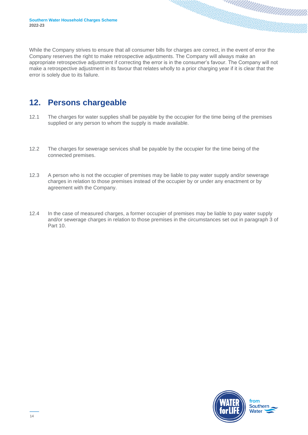While the Company strives to ensure that all consumer bills for charges are correct, in the event of error the Company reserves the right to make retrospective adjustments. The Company will always make an appropriate retrospective adjustment if correcting the error is in the consumer's favour. The Company will not make a retrospective adjustment in its favour that relates wholly to a prior charging year if it is clear that the error is solely due to its failure.

### <span id="page-13-0"></span>**12. Persons chargeable**

- 12.1 The charges for water supplies shall be payable by the occupier for the time being of the premises supplied or any person to whom the supply is made available.
- 12.2 The charges for sewerage services shall be payable by the occupier for the time being of the connected premises.
- 12.3 A person who is not the occupier of premises may be liable to pay water supply and/or sewerage charges in relation to those premises instead of the occupier by or under any enactment or by agreement with the Company.
- 12.4 In the case of measured charges, a former occupier of premises may be liable to pay water supply and/or sewerage charges in relation to those premises in the circumstances set out in paragraph 3 of Part 10.

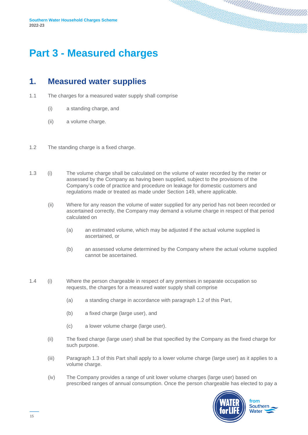**Southern Water Household Charges Scheme 2022-23**

## <span id="page-14-0"></span>**Part 3 - Measured charges**

### <span id="page-14-1"></span>**1. Measured water supplies**

- 1.1 The charges for a measured water supply shall comprise
	- (i) a standing charge, and
	- (ii) a volume charge.
- 1.2 The standing charge is a fixed charge.
- 1.3 (i) The volume charge shall be calculated on the volume of water recorded by the meter or assessed by the Company as having been supplied, subject to the provisions of the Company's code of practice and procedure on leakage for domestic customers and regulations made or treated as made under Section 149, where applicable.
	- (ii) Where for any reason the volume of water supplied for any period has not been recorded or ascertained correctly, the Company may demand a volume charge in respect of that period calculated on
		- (a) an estimated volume, which may be adjusted if the actual volume supplied is ascertained, or
		- (b) an assessed volume determined by the Company where the actual volume supplied cannot be ascertained.
- 1.4 (i) Where the person chargeable in respect of any premises in separate occupation so requests, the charges for a measured water supply shall comprise
	- (a) a standing charge in accordance with paragraph 1.2 of this Part,
	- (b) a fixed charge (large user), and
	- (c) a lower volume charge (large user).
	- (ii) The fixed charge (large user) shall be that specified by the Company as the fixed charge for such purpose.
	- (iii) Paragraph 1.3 of this Part shall apply to a lower volume charge (large user) as it applies to a volume charge.
	- (iv) The Company provides a range of unit lower volume charges (large user) based on prescribed ranges of annual consumption. Once the person chargeable has elected to pay a

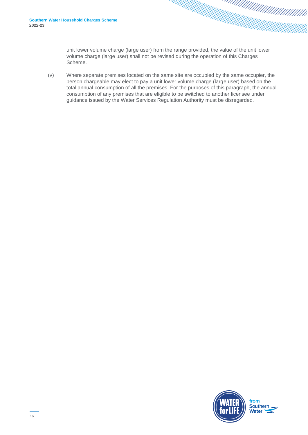unit lower volume charge (large user) from the range provided, the value of the unit lower volume charge (large user) shall not be revised during the operation of this Charges Scheme.

(v) Where separate premises located on the same site are occupied by the same occupier, the person chargeable may elect to pay a unit lower volume charge (large user) based on the total annual consumption of all the premises. For the purposes of this paragraph, the annual consumption of any premises that are eligible to be switched to another licensee under guidance issued by the Water Services Regulation Authority must be disregarded.

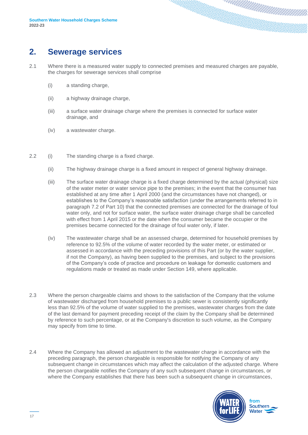### <span id="page-16-0"></span>**2. Sewerage services**

- 2.1 Where there is a measured water supply to connected premises and measured charges are payable, the charges for sewerage services shall comprise
	- (i) a standing charge,
	- (ii) a highway drainage charge,
	- (iii) a surface water drainage charge where the premises is connected for surface water drainage, and
	- (iv) a wastewater charge.
- 2.2 (i) The standing charge is a fixed charge.
	- (ii) The highway drainage charge is a fixed amount in respect of general highway drainage.
	- (iii) The surface water drainage charge is a fixed charge determined by the actual (physical) size of the water meter or water service pipe to the premises; in the event that the consumer has established at any time after 1 April 2000 (and the circumstances have not changed), or establishes to the Company's reasonable satisfaction (under the arrangements referred to in paragraph 7.2 of Part 10) that the connected premises are connected for the drainage of foul water only, and not for surface water, the surface water drainage charge shall be cancelled with effect from 1 April 2015 or the date when the consumer became the occupier or the premises became connected for the drainage of foul water only, if later.
	- (iv) The wastewater charge shall be an assessed charge, determined for household premises by reference to 92.5% of the volume of water recorded by the water meter, or estimated or assessed in accordance with the preceding provisions of this Part (or by the water supplier, if not the Company), as having been supplied to the premises, and subject to the provisions of the Company's code of practice and procedure on leakage for domestic customers and regulations made or treated as made under Section 149, where applicable.
- 2.3 Where the person chargeable claims and shows to the satisfaction of the Company that the volume of wastewater discharged from household premises to a public sewer is consistently significantly less than 92.5% of the volume of water supplied to the premises, wastewater charges from the date of the last demand for payment preceding receipt of the claim by the Company shall be determined by reference to such percentage, or at the Company's discretion to such volume, as the Company may specify from time to time.
- 2.4 Where the Company has allowed an adjustment to the wastewater charge in accordance with the preceding paragraph, the person chargeable is responsible for notifying the Company of any subsequent change in circumstances which may affect the calculation of the adjusted charge. Where the person chargeable notifies the Company of any such subsequent change in circumstances, or where the Company establishes that there has been such a subsequent change in circumstances,

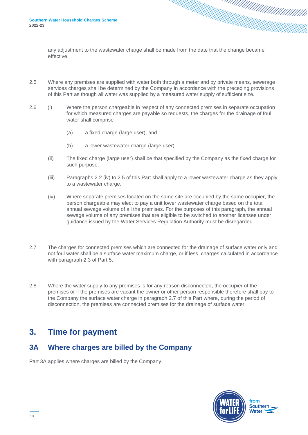any adjustment to the wastewater charge shall be made from the date that the change became effective.

- 2.5 Where any premises are supplied with water both through a meter and by private means, sewerage services charges shall be determined by the Company in accordance with the preceding provisions of this Part as though all water was supplied by a measured water supply of sufficient size.
- 2.6 (i) Where the person chargeable in respect of any connected premises in separate occupation for which measured charges are payable so requests, the charges for the drainage of foul water shall comprise
	- (a) a fixed charge (large user), and
	- (b) a lower wastewater charge (large user).
	- (ii) The fixed charge (large user) shall be that specified by the Company as the fixed charge for such purpose.
	- (iii) Paragraphs 2.2 (iv) to 2.5 of this Part shall apply to a lower wastewater charge as they apply to a wastewater charge.
	- (iv) Where separate premises located on the same site are occupied by the same occupier, the person chargeable may elect to pay a unit lower wastewater charge based on the total annual sewage volume of all the premises. For the purposes of this paragraph, the annual sewage volume of any premises that are eligible to be switched to another licensee under guidance issued by the Water Services Regulation Authority must be disregarded.
- 2.7 The charges for connected premises which are connected for the drainage of surface water only and not foul water shall be a surface water maximum charge, or if less, charges calculated in accordance with paragraph 2.3 of Part 5.
- 2.8 Where the water supply to any premises is for any reason disconnected, the occupier of the premises or if the premises are vacant the owner or other person responsible therefore shall pay to the Company the surface water charge in paragraph 2.7 of this Part where, during the period of disconnection, the premises are connected premises for the drainage of surface water.

### <span id="page-17-0"></span>**3. Time for payment**

### <span id="page-17-1"></span>**3A Where charges are billed by the Company**

Part 3A applies where charges are billed by the Company.

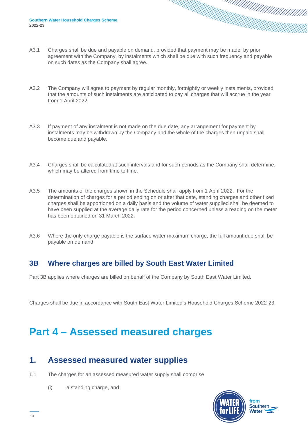- A3.1 Charges shall be due and payable on demand, provided that payment may be made, by prior agreement with the Company, by instalments which shall be due with such frequency and payable on such dates as the Company shall agree.
- A3.2 The Company will agree to payment by regular monthly, fortnightly or weekly instalments, provided that the amounts of such instalments are anticipated to pay all charges that will accrue in the year from 1 April 2022.
- A3.3 If payment of any instalment is not made on the due date, any arrangement for payment by instalments may be withdrawn by the Company and the whole of the charges then unpaid shall become due and payable.
- A3.4 Charges shall be calculated at such intervals and for such periods as the Company shall determine, which may be altered from time to time.
- A3.5 The amounts of the charges shown in the Schedule shall apply from 1 April 2022. For the determination of charges for a period ending on or after that date, standing charges and other fixed charges shall be apportioned on a daily basis and the volume of water supplied shall be deemed to have been supplied at the average daily rate for the period concerned unless a reading on the meter has been obtained on 31 March 2022.
- A3.6 Where the only charge payable is the surface water maximum charge, the full amount due shall be payable on demand.

### <span id="page-18-0"></span>**3B Where charges are billed by South East Water Limited**

Part 3B applies where charges are billed on behalf of the Company by South East Water Limited.

Charges shall be due in accordance with South East Water Limited's Household Charges Scheme 2022-23.

## <span id="page-18-1"></span>**Part 4 – Assessed measured charges**

### <span id="page-18-2"></span>**1. Assessed measured water supplies**

- 1.1 The charges for an assessed measured water supply shall comprise
	- (i) a standing charge, and

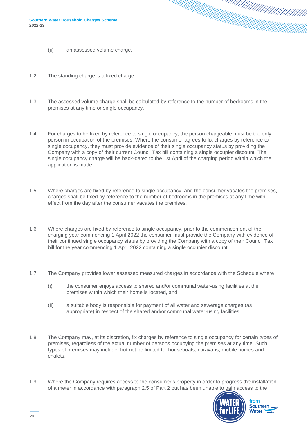- (ii) an assessed volume charge.
- 1.2 The standing charge is a fixed charge.
- 1.3 The assessed volume charge shall be calculated by reference to the number of bedrooms in the premises at any time or single occupancy.
- 1.4 For charges to be fixed by reference to single occupancy, the person chargeable must be the only person in occupation of the premises. Where the consumer agrees to fix charges by reference to single occupancy, they must provide evidence of their single occupancy status by providing the Company with a copy of their current Council Tax bill containing a single occupier discount. The single occupancy charge will be back-dated to the 1st April of the charging period within which the application is made.
- 1.5 Where charges are fixed by reference to single occupancy, and the consumer vacates the premises, charges shall be fixed by reference to the number of bedrooms in the premises at any time with effect from the day after the consumer vacates the premises.
- 1.6 Where charges are fixed by reference to single occupancy, prior to the commencement of the charging year commencing 1 April 2022 the consumer must provide the Company with evidence of their continued single occupancy status by providing the Company with a copy of their Council Tax bill for the year commencing 1 April 2022 containing a single occupier discount.
- 1.7 The Company provides lower assessed measured charges in accordance with the Schedule where
	- (i) the consumer enjoys access to shared and/or communal water-using facilities at the premises within which their home is located, and
	- (ii) a suitable body is responsible for payment of all water and sewerage charges (as appropriate) in respect of the shared and/or communal water-using facilities.
- 1.8 The Company may, at its discretion, fix charges by reference to single occupancy for certain types of premises, regardless of the actual number of persons occupying the premises at any time. Such types of premises may include, but not be limited to, houseboats, caravans, mobile homes and chalets.
- 1.9 Where the Company requires access to the consumer's property in order to progress the installation of a meter in accordance with paragraph 2.5 of Part 2 but has been unable to gain access to the

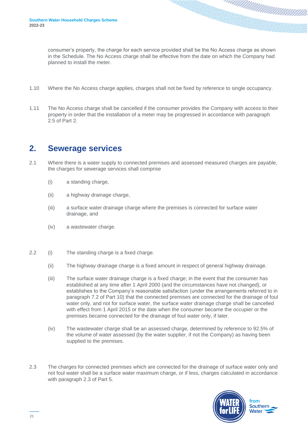consumer's property, the charge for each service provided shall be the No Access charge as shown in the Schedule. The No Access charge shall be effective from the date on which the Company had planned to install the meter.

- 1.10 Where the No Access charge applies, charges shall not be fixed by reference to single occupancy.
- 1.11 The No Access charge shall be cancelled if the consumer provides the Company with access to their property in order that the installation of a meter may be progressed in accordance with paragraph 2.5 of Part 2.

### <span id="page-20-0"></span>**2. Sewerage services**

- 2.1 Where there is a water supply to connected premises and assessed measured charges are payable, the charges for sewerage services shall comprise
	- (i) a standing charge,
	- (ii) a highway drainage charge,
	- (iii) a surface water drainage charge where the premises is connected for surface water drainage, and
	- (iv) a wastewater charge.
- 2.2 (i) The standing charge is a fixed charge.
	- (ii) The highway drainage charge is a fixed amount in respect of general highway drainage.
	- (iii) The surface water drainage charge is a fixed charge; in the event that the consumer has established at any time after 1 April 2000 (and the circumstances have not changed), or establishes to the Company's reasonable satisfaction (under the arrangements referred to in paragraph 7.2 of Part 10) that the connected premises are connected for the drainage of foul water only, and not for surface water, the surface water drainage charge shall be cancelled with effect from 1 April 2015 or the date when the consumer became the occupier or the premises became connected for the drainage of foul water only, if later.
	- (iv) The wastewater charge shall be an assessed charge, determined by reference to 92.5% of the volume of water assessed (by the water supplier, if not the Company) as having been supplied to the premises.
- 2.3 The charges for connected premises which are connected for the drainage of surface water only and not foul water shall be a surface water maximum charge, or if less, charges calculated in accordance with paragraph 2.3 of Part 5.

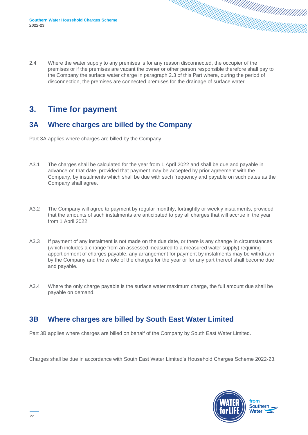2.4 Where the water supply to any premises is for any reason disconnected, the occupier of the premises or if the premises are vacant the owner or other person responsible therefore shall pay to the Company the surface water charge in paragraph 2.3 of this Part where, during the period of disconnection, the premises are connected premises for the drainage of surface water.

### <span id="page-21-0"></span>**3. Time for payment**

### <span id="page-21-1"></span>**3A Where charges are billed by the Company**

Part 3A applies where charges are billed by the Company.

- A3.1 The charges shall be calculated for the year from 1 April 2022 and shall be due and payable in advance on that date, provided that payment may be accepted by prior agreement with the Company, by instalments which shall be due with such frequency and payable on such dates as the Company shall agree.
- A3.2 The Company will agree to payment by regular monthly, fortnightly or weekly instalments, provided that the amounts of such instalments are anticipated to pay all charges that will accrue in the year from 1 April 2022.
- A3.3 If payment of any instalment is not made on the due date, or there is any change in circumstances (which includes a change from an assessed measured to a measured water supply) requiring apportionment of charges payable, any arrangement for payment by instalments may be withdrawn by the Company and the whole of the charges for the year or for any part thereof shall become due and payable.
- A3.4 Where the only charge payable is the surface water maximum charge, the full amount due shall be payable on demand.

### <span id="page-21-2"></span>**3B Where charges are billed by South East Water Limited**

Part 3B applies where charges are billed on behalf of the Company by South East Water Limited.

Charges shall be due in accordance with South East Water Limited's Household Charges Scheme 2022-23.

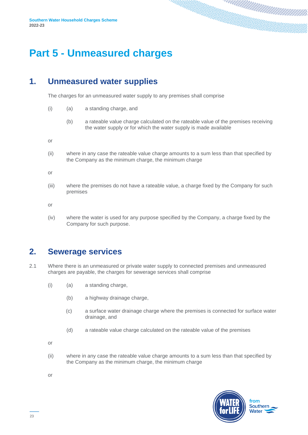## <span id="page-22-0"></span>**Part 5 - Unmeasured charges**

### <span id="page-22-1"></span>**1. Unmeasured water supplies**

The charges for an unmeasured water supply to any premises shall comprise

- (i) (a) a standing charge, and
	- (b) a rateable value charge calculated on the rateable value of the premises receiving the water supply or for which the water supply is made available

or

(ii) where in any case the rateable value charge amounts to a sum less than that specified by the Company as the minimum charge, the minimum charge

or

(iii) where the premises do not have a rateable value, a charge fixed by the Company for such premises

or

(iv) where the water is used for any purpose specified by the Company, a charge fixed by the Company for such purpose.

### <span id="page-22-2"></span>**2. Sewerage services**

- 2.1 Where there is an unmeasured or private water supply to connected premises and unmeasured charges are payable, the charges for sewerage services shall comprise
	- (i) (a) a standing charge,
		- (b) a highway drainage charge,
		- (c) a surface water drainage charge where the premises is connected for surface water drainage, and
		- (d) a rateable value charge calculated on the rateable value of the premises

or

(ii) where in any case the rateable value charge amounts to a sum less than that specified by the Company as the minimum charge, the minimum charge

or

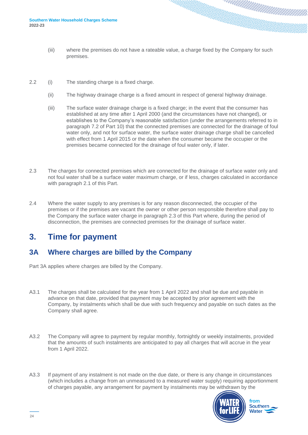- (iii) where the premises do not have a rateable value, a charge fixed by the Company for such premises.
- 2.2 (i) The standing charge is a fixed charge.
	- (ii) The highway drainage charge is a fixed amount in respect of general highway drainage.
	- (iii) The surface water drainage charge is a fixed charge; in the event that the consumer has established at any time after 1 April 2000 (and the circumstances have not changed), or establishes to the Company's reasonable satisfaction (under the arrangements referred to in paragraph 7.2 of Part 10) that the connected premises are connected for the drainage of foul water only, and not for surface water, the surface water drainage charge shall be cancelled with effect from 1 April 2015 or the date when the consumer became the occupier or the premises became connected for the drainage of foul water only, if later.
- 2.3 The charges for connected premises which are connected for the drainage of surface water only and not foul water shall be a surface water maximum charge, or if less, charges calculated in accordance with paragraph 2.1 of this Part.
- 2.4 Where the water supply to any premises is for any reason disconnected, the occupier of the premises or if the premises are vacant the owner or other person responsible therefore shall pay to the Company the surface water charge in paragraph 2.3 of this Part where, during the period of disconnection, the premises are connected premises for the drainage of surface water.

### <span id="page-23-0"></span>**3. Time for payment**

### <span id="page-23-1"></span>**3A Where charges are billed by the Company**

Part 3A applies where charges are billed by the Company.

- A3.1 The charges shall be calculated for the year from 1 April 2022 and shall be due and payable in advance on that date, provided that payment may be accepted by prior agreement with the Company, by instalments which shall be due with such frequency and payable on such dates as the Company shall agree.
- A3.2 The Company will agree to payment by regular monthly, fortnightly or weekly instalments, provided that the amounts of such instalments are anticipated to pay all charges that will accrue in the year from 1 April 2022.
- A3.3 If payment of any instalment is not made on the due date, or there is any change in circumstances (which includes a change from an unmeasured to a measured water supply) requiring apportionment of charges payable, any arrangement for payment by instalments may be withdrawn by the

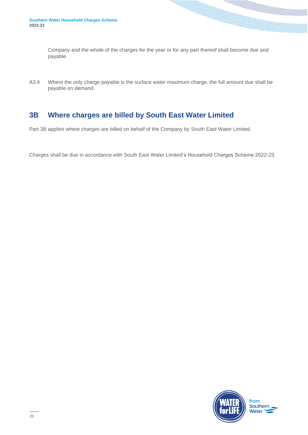Company and the whole of the charges for the year or for any part thereof shall become due and payable.

A3.4 Where the only charge payable is the surface water maximum charge, the full amount due shall be payable on demand.

### <span id="page-24-0"></span>**3B Where charges are billed by South East Water Limited**

Part 3B applies where charges are billed on behalf of the Company by South East Water Limited.

<span id="page-24-1"></span>Charges shall be due in accordance with South East Water Limited's Household Charges Scheme 2022-23.

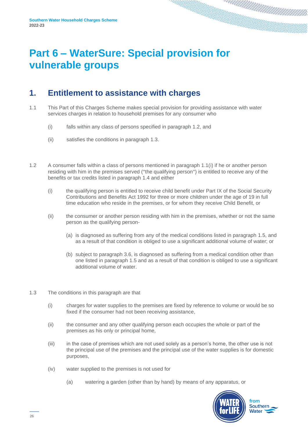## **Part 6 – WaterSure: Special provision for vulnerable groups**

### <span id="page-25-0"></span>**1. Entitlement to assistance with charges**

- 1.1 This Part of this Charges Scheme makes special provision for providing assistance with water services charges in relation to household premises for any consumer who
	- (i) falls within any class of persons specified in paragraph 1.2, and
	- (ii) satisfies the conditions in paragraph 1.3.
- 1.2 A consumer falls within a class of persons mentioned in paragraph 1.1(i) if he or another person residing with him in the premises served ("the qualifying person") is entitled to receive any of the benefits or tax credits listed in paragraph 1.4 and either
	- (i) the qualifying person is entitled to receive child benefit under Part IX of the Social Security Contributions and Benefits Act 1992 for three or more children under the age of 19 in full time education who reside in the premises, or for whom they receive Child Benefit, or
	- (ii) the consumer or another person residing with him in the premises, whether or not the same person as the qualifying person-
		- (a) is diagnosed as suffering from any of the medical conditions listed in paragraph 1.5, and as a result of that condition is obliged to use a significant additional volume of water; or
		- (b) subject to paragraph 3.6, is diagnosed as suffering from a medical condition other than one listed in paragraph 1.5 and as a result of that condition is obliged to use a significant additional volume of water.
- 1.3 The conditions in this paragraph are that
	- (i) charges for water supplies to the premises are fixed by reference to volume or would be so fixed if the consumer had not been receiving assistance,
	- (ii) the consumer and any other qualifying person each occupies the whole or part of the premises as his only or principal home,
	- (iii) in the case of premises which are not used solely as a person's home, the other use is not the principal use of the premises and the principal use of the water supplies is for domestic purposes,
	- (iv) water supplied to the premises is not used for
		- (a) watering a garden (other than by hand) by means of any apparatus, or

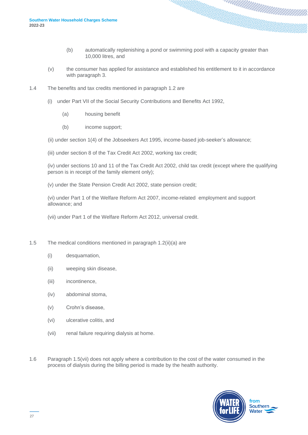- (b) automatically replenishing a pond or swimming pool with a capacity greater than 10,000 litres, and
- (v) the consumer has applied for assistance and established his entitlement to it in accordance with paragraph 3.
- 1.4 The benefits and tax credits mentioned in paragraph 1.2 are
	- (i) under Part VII of the Social Security Contributions and Benefits Act 1992,
		- (a) housing benefit
		- (b) income support;
	- (ii) under section 1(4) of the Jobseekers Act 1995, income-based job-seeker's allowance;
	- (iii) under section 8 of the Tax Credit Act 2002, working tax credit;

(iv) under sections 10 and 11 of the Tax Credit Act 2002, child tax credit (except where the qualifying person is in receipt of the family element only);

(v) under the State Pension Credit Act 2002, state pension credit;

(vi) under Part 1 of the Welfare Reform Act 2007, income-related employment and support allowance; and

- (vii) under Part 1 of the Welfare Reform Act 2012, universal credit.
- 1.5 The medical conditions mentioned in paragraph 1.2(ii)(a) are
	- (i) desquamation,
	- (ii) weeping skin disease,
	- (iii) incontinence.
	- (iv) abdominal stoma,
	- (v) Crohn's disease,
	- (vi) ulcerative colitis, and
	- (vii) renal failure requiring dialysis at home.
- 1.6 Paragraph 1.5(vii) does not apply where a contribution to the cost of the water consumed in the process of dialysis during the billing period is made by the health authority.

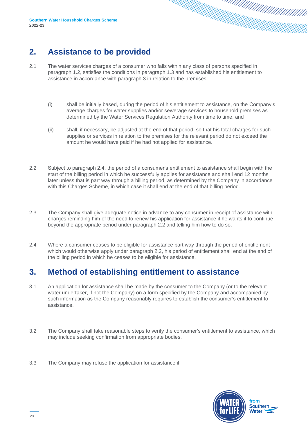### <span id="page-27-0"></span>**2. Assistance to be provided**

- 2.1 The water services charges of a consumer who falls within any class of persons specified in paragraph 1.2, satisfies the conditions in paragraph 1.3 and has established his entitlement to assistance in accordance with paragraph 3 in relation to the premises
	- (i) shall be initially based, during the period of his entitlement to assistance, on the Company's average charges for water supplies and/or sewerage services to household premises as determined by the Water Services Regulation Authority from time to time, and
	- (ii) shall, if necessary, be adjusted at the end of that period, so that his total charges for such supplies or services in relation to the premises for the relevant period do not exceed the amount he would have paid if he had not applied for assistance.
- 2.2 Subject to paragraph 2.4, the period of a consumer's entitlement to assistance shall begin with the start of the billing period in which he successfully applies for assistance and shall end 12 months later unless that is part way through a billing period, as determined by the Company in accordance with this Charges Scheme, in which case it shall end at the end of that billing period.
- 2.3 The Company shall give adequate notice in advance to any consumer in receipt of assistance with charges reminding him of the need to renew his application for assistance if he wants it to continue beyond the appropriate period under paragraph 2.2 and telling him how to do so.
- 2.4 Where a consumer ceases to be eligible for assistance part way through the period of entitlement which would otherwise apply under paragraph 2.2, his period of entitlement shall end at the end of the billing period in which he ceases to be eligible for assistance.

### <span id="page-27-1"></span>**3. Method of establishing entitlement to assistance**

- 3.1 An application for assistance shall be made by the consumer to the Company (or to the relevant water undertaker, if not the Company) on a form specified by the Company and accompanied by such information as the Company reasonably requires to establish the consumer's entitlement to assistance.
- 3.2 The Company shall take reasonable steps to verify the consumer's entitlement to assistance, which may include seeking confirmation from appropriate bodies.
- 3.3 The Company may refuse the application for assistance if

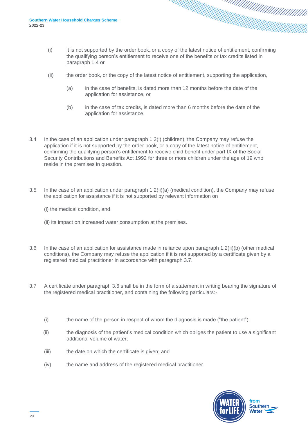- (i) it is not supported by the order book, or a copy of the latest notice of entitlement, confirming the qualifying person's entitlement to receive one of the benefits or tax credits listed in paragraph 1.4 or
- (ii) the order book, or the copy of the latest notice of entitlement, supporting the application,
	- (a) in the case of benefits, is dated more than 12 months before the date of the application for assistance, or
	- (b) in the case of tax credits, is dated more than 6 months before the date of the application for assistance.
- 3.4 In the case of an application under paragraph 1.2(i) (children), the Company may refuse the application if it is not supported by the order book, or a copy of the latest notice of entitlement, confirming the qualifying person's entitlement to receive child benefit under part IX of the Social Security Contributions and Benefits Act 1992 for three or more children under the age of 19 who reside in the premises in question.
- 3.5 In the case of an application under paragraph 1.2(ii)(a) (medical condition), the Company may refuse the application for assistance if it is not supported by relevant information on
	- (i) the medical condition, and
	- (ii) its impact on increased water consumption at the premises.
- 3.6 In the case of an application for assistance made in reliance upon paragraph 1.2(ii)(b) (other medical conditions), the Company may refuse the application if it is not supported by a certificate given by a registered medical practitioner in accordance with paragraph 3.7.
- 3.7 A certificate under paragraph 3.6 shall be in the form of a statement in writing bearing the signature of the registered medical practitioner, and containing the following particulars:-
	- (i) the name of the person in respect of whom the diagnosis is made ("the patient");
	- (ii) the diagnosis of the patient's medical condition which obliges the patient to use a significant additional volume of water;
	- (iii) the date on which the certificate is given; and
	- (iv) the name and address of the registered medical practitioner.

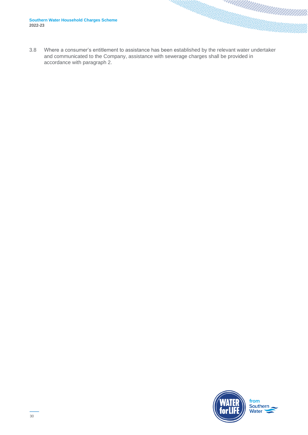3.8 Where a consumer's entitlement to assistance has been established by the relevant water undertaker and communicated to the Company, assistance with sewerage charges shall be provided in accordance with paragraph 2.

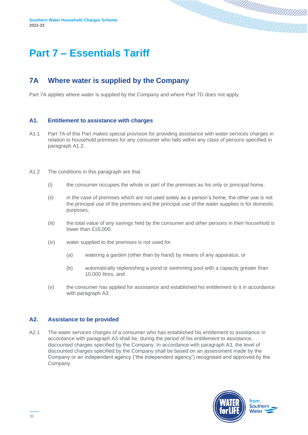## <span id="page-30-0"></span>**Part 7 – Essentials Tariff**

### <span id="page-30-1"></span>**7A Where water is supplied by the Company**

Part 7A applies where water is supplied by the Company and where Part 7D does not apply.

#### <span id="page-30-2"></span>**A1. Entitlement to assistance with charges**

- A1.1 Part 7A of this Part makes special provision for providing assistance with water services charges in relation to household premises for any consumer who falls within any class of persons specified in paragraph A1.2.
- A1.2 The conditions in this paragraph are that
	- (i) the consumer occupies the whole or part of the premises as his only or principal home,
	- (ii) in the case of premises which are not used solely as a person's home, the other use is not the principal use of the premises and the principal use of the water supplies is for domestic purposes,
	- (iii) the total value of any savings held by the consumer and other persons in their household is lower than £16,000.
	- (iv) water supplied to the premises is not used for
		- (a) watering a garden (other than by hand) by means of any apparatus, or
		- (b) automatically replenishing a pond or swimming pool with a capacity greater than 10,000 litres, and
	- (v) the consumer has applied for assistance and established his entitlement to it in accordance with paragraph A3.

#### <span id="page-30-3"></span>**A2. Assistance to be provided**

A2.1 The water services charges of a consumer who has established his entitlement to assistance in accordance with paragraph A3 shall be, during the period of his entitlement to assistance, discounted charges specified by the Company. In accordance with paragraph A3, the level of discounted charges specified by the Company shall be based on an assessment made by the Company or an independent agency ("the independent agency") recognised and approved by the Company.

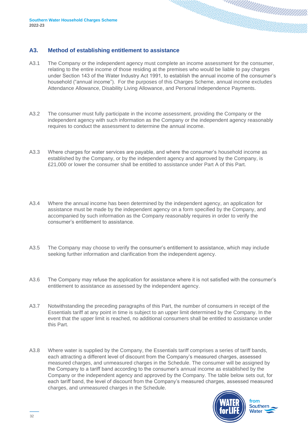**Southern Water Household Charges Scheme 2022-23**

#### <span id="page-31-0"></span>**A3. Method of establishing entitlement to assistance**

- A3.1 The Company or the independent agency must complete an income assessment for the consumer, relating to the entire income of those residing at the premises who would be liable to pay charges under Section 143 of the Water Industry Act 1991, to establish the annual income of the consumer's household ("annual income"). For the purposes of this Charges Scheme, annual income excludes Attendance Allowance, Disability Living Allowance, and Personal Independence Payments.
- A3.2 The consumer must fully participate in the income assessment, providing the Company or the independent agency with such information as the Company or the independent agency reasonably requires to conduct the assessment to determine the annual income.
- A3.3 Where charges for water services are payable, and where the consumer's household income as established by the Company, or by the independent agency and approved by the Company, is £21,000 or lower the consumer shall be entitled to assistance under Part A of this Part.
- A3.4 Where the annual income has been determined by the independent agency, an application for assistance must be made by the independent agency on a form specified by the Company, and accompanied by such information as the Company reasonably requires in order to verify the consumer's entitlement to assistance.
- A3.5 The Company may choose to verify the consumer's entitlement to assistance, which may include seeking further information and clarification from the independent agency.
- A3.6 The Company may refuse the application for assistance where it is not satisfied with the consumer's entitlement to assistance as assessed by the independent agency.
- A3.7 Notwithstanding the preceding paragraphs of this Part, the number of consumers in receipt of the Essentials tariff at any point in time is subject to an upper limit determined by the Company. In the event that the upper limit is reached, no additional consumers shall be entitled to assistance under this Part.
- A3.8 Where water is supplied by the Company, the Essentials tariff comprises a series of tariff bands, each attracting a different level of discount from the Company's measured charges, assessed measured charges, and unmeasured charges in the Schedule. The consumer will be assigned by the Company to a tariff band according to the consumer's annual income as established by the Company or the independent agency and approved by the Company. The table below sets out, for each tariff band, the level of discount from the Company's measured charges, assessed measured charges, and unmeasured charges in the Schedule.

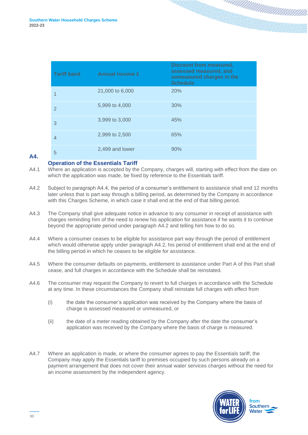| <b>Tariff band</b> | <b>Annual income £</b> | <b>Discount from measured,</b><br>assessed measured, and<br>unmeasured charges in the<br><b>Schedule</b> |
|--------------------|------------------------|----------------------------------------------------------------------------------------------------------|
|                    | 21,000 to 6,000        | 20%                                                                                                      |
| 2                  | 5,999 to 4,000         | 30%                                                                                                      |
| 3                  | 3,999 to 3,000         | 45%                                                                                                      |
| 4                  | 2,999 to 2,500         | 65%                                                                                                      |
| 5                  | 2,499 and lower        | 90%                                                                                                      |

#### **Operation of the Essentials Tariff**

<span id="page-32-0"></span>**A4.** 

- A4.1 Where an application is accepted by the Company, charges will, starting with effect from the date on which the application was made, be fixed by reference to the Essentials tariff.
- A4.2 Subject to paragraph A4.4, the period of a consumer's entitlement to assistance shall end 12 months later unless that is part way through a billing period, as determined by the Company in accordance with this Charges Scheme, in which case it shall end at the end of that billing period.
- A4.3 The Company shall give adequate notice in advance to any consumer in receipt of assistance with charges reminding him of the need to renew his application for assistance if he wants it to continue beyond the appropriate period under paragraph A4.2 and telling him how to do so.
- A4.4 Where a consumer ceases to be eligible for assistance part way through the period of entitlement which would otherwise apply under paragraph A4.2, his period of entitlement shall end at the end of the billing period in which he ceases to be eligible for assistance.
- A4.5 Where the consumer defaults on payments, entitlement to assistance under Part A of this Part shall cease, and full charges in accordance with the Schedule shall be reinstated.
- A4.6 The consumer may request the Company to revert to full charges in accordance with the Schedule at any time. In these circumstances the Company shall reinstate full charges with effect from
	- (i) the date the consumer's application was received by the Company where the basis of charge is assessed measured or unmeasured, or
	- (ii) the date of a meter reading obtained by the Company after the date the consumer's application was received by the Company where the basis of charge is measured.
- A4.7 Where an application is made, or where the consumer agrees to pay the Essentials tariff, the Company may apply the Essentials tariff to premises occupied by such persons already on a payment arrangement that does not cover their annual water services charges without the need for an income assessment by the independent agency.

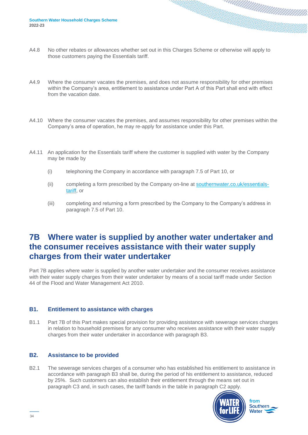- A4.8 No other rebates or allowances whether set out in this Charges Scheme or otherwise will apply to those customers paying the Essentials tariff.
- A4.9 Where the consumer vacates the premises, and does not assume responsibility for other premises within the Company's area, entitlement to assistance under Part A of this Part shall end with effect from the vacation date.
- A4.10 Where the consumer vacates the premises, and assumes responsibility for other premises within the Company's area of operation, he may re-apply for assistance under this Part.
- A4.11 An application for the Essentials tariff where the customer is supplied with water by the Company may be made by
	- (i) telephoning the Company in accordance with paragraph 7.5 of Part 10, or
	- (ii) completing a form prescribed by the Company on-line at [southernwater.co.uk/essentials](https://www.southernwater.co.uk/essentials-tariff)[tariff,](https://www.southernwater.co.uk/essentials-tariff) or
	- (iii) completing and returning a form prescribed by the Company to the Company's address in paragraph 7.5 of Part 10.

### <span id="page-33-0"></span>**7B Where water is supplied by another water undertaker and the consumer receives assistance with their water supply charges from their water undertaker**

Part 7B applies where water is supplied by another water undertaker and the consumer receives assistance with their water supply charges from their water undertaker by means of a social tariff made under Section 44 of the Flood and Water Management Act 2010.

#### <span id="page-33-1"></span>**B1. Entitlement to assistance with charges**

B1.1 Part 7B of this Part makes special provision for providing assistance with sewerage services charges in relation to household premises for any consumer who receives assistance with their water supply charges from their water undertaker in accordance with paragraph B3.

#### <span id="page-33-2"></span>**B2. Assistance to be provided**

B2.1 The sewerage services charges of a consumer who has established his entitlement to assistance in accordance with paragraph B3 shall be, during the period of his entitlement to assistance, reduced by 25%. Such customers can also establish their entitlement through the means set out in paragraph C3 and, in such cases, the tariff bands in the table in paragraph C2 apply.

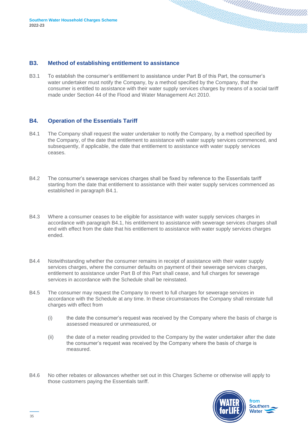#### <span id="page-34-0"></span>**B3. Method of establishing entitlement to assistance**

B3.1 To establish the consumer's entitlement to assistance under Part B of this Part, the consumer's water undertaker must notify the Company, by a method specified by the Company, that the consumer is entitled to assistance with their water supply services charges by means of a social tariff made under Section 44 of the Flood and Water Management Act 2010.

#### <span id="page-34-1"></span>**B4. Operation of the Essentials Tariff**

- B4.1 The Company shall request the water undertaker to notify the Company, by a method specified by the Company, of the date that entitlement to assistance with water supply services commenced, and subsequently, if applicable, the date that entitlement to assistance with water supply services ceases.
- B4.2 The consumer's sewerage services charges shall be fixed by reference to the Essentials tariff starting from the date that entitlement to assistance with their water supply services commenced as established in paragraph B4.1.
- B4.3 Where a consumer ceases to be eligible for assistance with water supply services charges in accordance with paragraph B4.1, his entitlement to assistance with sewerage services charges shall end with effect from the date that his entitlement to assistance with water supply services charges ended.
- B4.4 Notwithstanding whether the consumer remains in receipt of assistance with their water supply services charges, where the consumer defaults on payment of their sewerage services charges, entitlement to assistance under Part B of this Part shall cease, and full charges for sewerage services in accordance with the Schedule shall be reinstated.
- B4.5 The consumer may request the Company to revert to full charges for sewerage services in accordance with the Schedule at any time. In these circumstances the Company shall reinstate full charges with effect from
	- (i) the date the consumer's request was received by the Company where the basis of charge is assessed measured or unmeasured, or
	- (ii) the date of a meter reading provided to the Company by the water undertaker after the date the consumer's request was received by the Company where the basis of charge is measured.
- B4.6 No other rebates or allowances whether set out in this Charges Scheme or otherwise will apply to those customers paying the Essentials tariff.

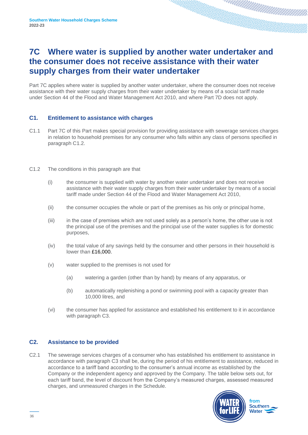### <span id="page-35-0"></span>**7C Where water is supplied by another water undertaker and the consumer does not receive assistance with their water supply charges from their water undertaker**

Part 7C applies where water is supplied by another water undertaker, where the consumer does not receive assistance with their water supply charges from their water undertaker by means of a social tariff made under Section 44 of the Flood and Water Management Act 2010, and where Part 7D does not apply.

#### <span id="page-35-1"></span>**C1. Entitlement to assistance with charges**

- C1.1 Part 7C of this Part makes special provision for providing assistance with sewerage services charges in relation to household premises for any consumer who falls within any class of persons specified in paragraph C1.2.
- C1.2 The conditions in this paragraph are that
	- (i) the consumer is supplied with water by another water undertaker and does not receive assistance with their water supply charges from their water undertaker by means of a social tariff made under Section 44 of the Flood and Water Management Act 2010,
	- (ii) the consumer occupies the whole or part of the premises as his only or principal home,
	- (iii) in the case of premises which are not used solely as a person's home, the other use is not the principal use of the premises and the principal use of the water supplies is for domestic purposes,
	- (iv) the total value of any savings held by the consumer and other persons in their household is lower than £16,000.
	- (v) water supplied to the premises is not used for
		- (a) watering a garden (other than by hand) by means of any apparatus, or
		- (b) automatically replenishing a pond or swimming pool with a capacity greater than 10,000 litres, and
	- (vi) the consumer has applied for assistance and established his entitlement to it in accordance with paragraph C3.

#### <span id="page-35-2"></span>**C2. Assistance to be provided**

C2.1 The sewerage services charges of a consumer who has established his entitlement to assistance in accordance with paragraph C3 shall be, during the period of his entitlement to assistance, reduced in accordance to a tariff band according to the consumer's annual income as established by the Company or the independent agency and approved by the Company. The table below sets out, for each tariff band, the level of discount from the Company's measured charges, assessed measured charges, and unmeasured charges in the Schedule.

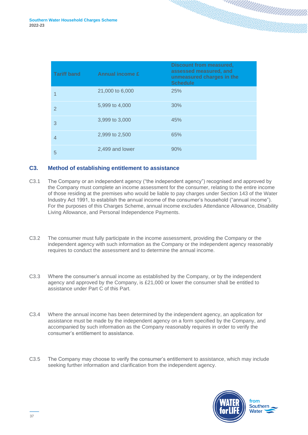| <b>Tariff band</b> | Annual income £ | <b>Discount from measured,</b><br>assessed measured, and<br>unmeasured charges in the<br><b>Schedule</b> |
|--------------------|-----------------|----------------------------------------------------------------------------------------------------------|
|                    | 21,000 to 6,000 | 25%                                                                                                      |
| 2                  | 5,999 to 4,000  | 30%                                                                                                      |
| 3                  | 3,999 to 3,000  | 45%                                                                                                      |
| 4                  | 2,999 to 2,500  | 65%                                                                                                      |
| 5                  | 2,499 and lower | 90%                                                                                                      |

#### <span id="page-36-0"></span>**C3. Method of establishing entitlement to assistance**

- C3.1 The Company or an independent agency ("the independent agency") recognised and approved by the Company must complete an income assessment for the consumer, relating to the entire income of those residing at the premises who would be liable to pay charges under Section 143 of the Water Industry Act 1991, to establish the annual income of the consumer's household ("annual income"). For the purposes of this Charges Scheme, annual income excludes Attendance Allowance, Disability Living Allowance, and Personal Independence Payments.
- C3.2 The consumer must fully participate in the income assessment, providing the Company or the independent agency with such information as the Company or the independent agency reasonably requires to conduct the assessment and to determine the annual income.
- C3.3 Where the consumer's annual income as established by the Company, or by the independent agency and approved by the Company, is £21,000 or lower the consumer shall be entitled to assistance under Part C of this Part.
- C3.4 Where the annual income has been determined by the independent agency, an application for assistance must be made by the independent agency on a form specified by the Company, and accompanied by such information as the Company reasonably requires in order to verify the consumer's entitlement to assistance.
- C3.5 The Company may choose to verify the consumer's entitlement to assistance, which may include seeking further information and clarification from the independent agency.

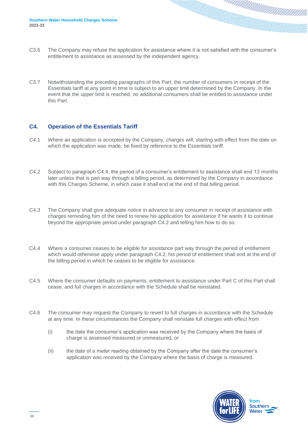- C3.6 The Company may refuse the application for assistance where it is not satisfied with the consumer's entitlement to assistance as assessed by the independent agency.
- C3.7 Notwithstanding the preceding paragraphs of this Part, the number of consumers in receipt of the Essentials tariff at any point in time is subject to an upper limit determined by the Company. In the event that the upper limit is reached, no additional consumers shall be entitled to assistance under this Part.

#### <span id="page-37-0"></span>**C4. Operation of the Essentials Tariff**

- C4.1 Where an application is accepted by the Company, charges will, starting with effect from the date on which the application was made, be fixed by reference to the Essentials tariff.
- C4.2 Subject to paragraph C4.4, the period of a consumer's entitlement to assistance shall end 12 months later unless that is part way through a billing period, as determined by the Company in accordance with this Charges Scheme, in which case it shall end at the end of that billing period.
- C4.3 The Company shall give adequate notice in advance to any consumer in receipt of assistance with charges reminding him of the need to renew his application for assistance if he wants it to continue beyond the appropriate period under paragraph C4.2 and telling him how to do so.
- C4.4 Where a consumer ceases to be eligible for assistance part way through the period of entitlement which would otherwise apply under paragraph C4.2, his period of entitlement shall end at the end of the billing period in which he ceases to be eligible for assistance.
- C4.5 Where the consumer defaults on payments, entitlement to assistance under Part C of this Part shall cease, and full charges in accordance with the Schedule shall be reinstated.
- C4.6 The consumer may request the Company to revert to full charges in accordance with the Schedule at any time. In these circumstances the Company shall reinstate full charges with effect from
	- (i) the date the consumer's application was received by the Company where the basis of charge is assessed measured or unmeasured, or
	- (ii) the date of a meter reading obtained by the Company after the date the consumer's application was received by the Company where the basis of charge is measured.

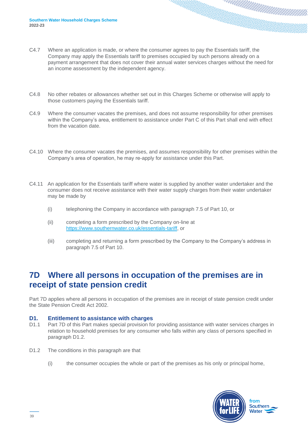- C4.7 Where an application is made, or where the consumer agrees to pay the Essentials tariff, the Company may apply the Essentials tariff to premises occupied by such persons already on a payment arrangement that does not cover their annual water services charges without the need for an income assessment by the independent agency.
- C4.8 No other rebates or allowances whether set out in this Charges Scheme or otherwise will apply to those customers paying the Essentials tariff.
- C4.9 Where the consumer vacates the premises, and does not assume responsibility for other premises within the Company's area, entitlement to assistance under Part C of this Part shall end with effect from the vacation date.
- C4.10 Where the consumer vacates the premises, and assumes responsibility for other premises within the Company's area of operation, he may re-apply for assistance under this Part.
- C4.11 An application for the Essentials tariff where water is supplied by another water undertaker and the consumer does not receive assistance with their water supply charges from their water undertaker may be made by
	- (i) telephoning the Company in accordance with paragraph 7.5 of Part 10, or
	- (ii) completing a form prescribed by the Company on-line at [https://www.southernwater.co.uk/essentials-tariff,](https://www.southernwater.co.uk/essentials-tariff) or
	- (iii) completing and returning a form prescribed by the Company to the Company's address in paragraph 7.5 of Part 10.

### <span id="page-38-0"></span>**7D Where all persons in occupation of the premises are in receipt of state pension credit**

Part 7D applies where all persons in occupation of the premises are in receipt of state pension credit under the State Pension Credit Act 2002.

#### <span id="page-38-1"></span>**D1. Entitlement to assistance with charges**

- D1.1 Part 7D of this Part makes special provision for providing assistance with water services charges in relation to household premises for any consumer who falls within any class of persons specified in paragraph D1.2.
- D1.2 The conditions in this paragraph are that
	- (i) the consumer occupies the whole or part of the premises as his only or principal home,

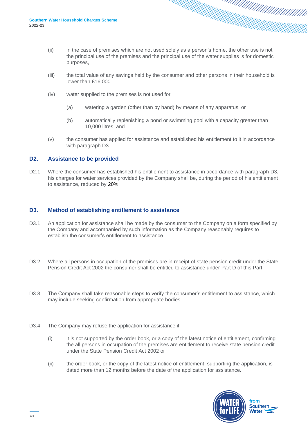- (ii) in the case of premises which are not used solely as a person's home, the other use is not the principal use of the premises and the principal use of the water supplies is for domestic purposes,
- (iii) the total value of any savings held by the consumer and other persons in their household is lower than £16,000.
- (iv) water supplied to the premises is not used for
	- (a) watering a garden (other than by hand) by means of any apparatus, or
	- (b) automatically replenishing a pond or swimming pool with a capacity greater than 10,000 litres, and
- (v) the consumer has applied for assistance and established his entitlement to it in accordance with paragraph D3.

#### <span id="page-39-0"></span>**D2. Assistance to be provided**

D2.1 Where the consumer has established his entitlement to assistance in accordance with paragraph D3, his charges for water services provided by the Company shall be, during the period of his entitlement to assistance, reduced by 20%.

#### <span id="page-39-1"></span>**D3. Method of establishing entitlement to assistance**

- D3.1 An application for assistance shall be made by the consumer to the Company on a form specified by the Company and accompanied by such information as the Company reasonably requires to establish the consumer's entitlement to assistance.
- D3.2 Where all persons in occupation of the premises are in receipt of state pension credit under the State Pension Credit Act 2002 the consumer shall be entitled to assistance under Part D of this Part.
- D3.3 The Company shall take reasonable steps to verify the consumer's entitlement to assistance, which may include seeking confirmation from appropriate bodies.
- D3.4 The Company may refuse the application for assistance if
	- (i) it is not supported by the order book, or a copy of the latest notice of entitlement, confirming the all persons in occupation of the premises are entitlement to receive state pension credit under the State Pension Credit Act 2002 or
	- (ii) the order book, or the copy of the latest notice of entitlement, supporting the application, is dated more than 12 months before the date of the application for assistance.

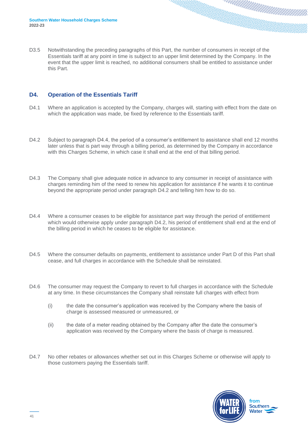D3.5 Notwithstanding the preceding paragraphs of this Part, the number of consumers in receipt of the Essentials tariff at any point in time is subject to an upper limit determined by the Company. In the event that the upper limit is reached, no additional consumers shall be entitled to assistance under this Part.

#### <span id="page-40-0"></span>**D4. Operation of the Essentials Tariff**

- D4.1 Where an application is accepted by the Company, charges will, starting with effect from the date on which the application was made, be fixed by reference to the Essentials tariff.
- D4.2 Subject to paragraph D4.4, the period of a consumer's entitlement to assistance shall end 12 months later unless that is part way through a billing period, as determined by the Company in accordance with this Charges Scheme, in which case it shall end at the end of that billing period.
- D4.3 The Company shall give adequate notice in advance to any consumer in receipt of assistance with charges reminding him of the need to renew his application for assistance if he wants it to continue beyond the appropriate period under paragraph D4.2 and telling him how to do so.
- D4.4 Where a consumer ceases to be eligible for assistance part way through the period of entitlement which would otherwise apply under paragraph D4.2, his period of entitlement shall end at the end of the billing period in which he ceases to be eligible for assistance.
- D4.5 Where the consumer defaults on payments, entitlement to assistance under Part D of this Part shall cease, and full charges in accordance with the Schedule shall be reinstated.
- D4.6 The consumer may request the Company to revert to full charges in accordance with the Schedule at any time. In these circumstances the Company shall reinstate full charges with effect from
	- (i) the date the consumer's application was received by the Company where the basis of charge is assessed measured or unmeasured, or
	- (ii) the date of a meter reading obtained by the Company after the date the consumer's application was received by the Company where the basis of charge is measured.
- D4.7 No other rebates or allowances whether set out in this Charges Scheme or otherwise will apply to those customers paying the Essentials tariff.

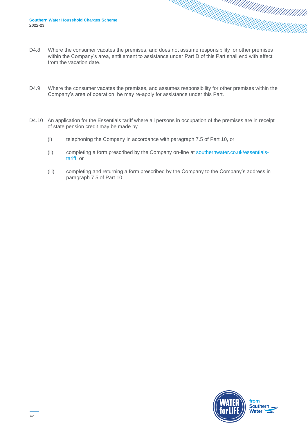- D4.8 Where the consumer vacates the premises, and does not assume responsibility for other premises within the Company's area, entitlement to assistance under Part D of this Part shall end with effect from the vacation date.
- D4.9 Where the consumer vacates the premises, and assumes responsibility for other premises within the Company's area of operation, he may re-apply for assistance under this Part.
- <span id="page-41-0"></span>D4.10 An application for the Essentials tariff where all persons in occupation of the premises are in receipt of state pension credit may be made by
	- (i) telephoning the Company in accordance with paragraph 7.5 of Part 10, or
	- (ii) completing a form prescribed by the Company on-line at [southernwater.co.uk/essentials](https://www.southernwater.co.uk/essentials-tariff)[tariff,](https://www.southernwater.co.uk/essentials-tariff) or
	- (iii) completing and returning a form prescribed by the Company to the Company's address in paragraph 7.5 of Part 10.

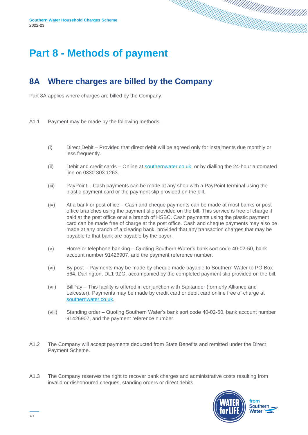## **Part 8 - Methods of payment**

### <span id="page-42-0"></span>**8A Where charges are billed by the Company**

Part 8A applies where charges are billed by the Company.

- A1.1 Payment may be made by the following methods:
	- (i) Direct Debit Provided that direct debit will be agreed only for instalments due monthly or less frequently.
	- (ii) Debit and credit cards Online at [southernwater.co.uk,](https://www.southernwater.co.uk/) or by dialling the 24-hour automated line on 0330 303 1263.
	- (iii) PayPoint Cash payments can be made at any shop with a PayPoint terminal using the plastic payment card or the payment slip provided on the bill.
	- (iv) At a bank or post office Cash and cheque payments can be made at most banks or post office branches using the payment slip provided on the bill. This service is free of charge if paid at the post office or at a branch of HSBC. Cash payments using the plastic payment card can be made free of charge at the post office. Cash and cheque payments may also be made at any branch of a clearing bank, provided that any transaction charges that may be payable to that bank are payable by the payer.
	- (v) Home or telephone banking Quoting Southern Water's bank sort code 40-02-50, bank account number 91426907, and the payment reference number.
	- (vi) By post Payments may be made by cheque made payable to Southern Water to PO Box 564, Darlington, DL1 9ZG, accompanied by the completed payment slip provided on the bill.
	- (vii) BillPay This facility is offered in conjunction with Santander (formerly Alliance and Leicester). Payments may be made by credit card or debit card online free of charge at [southernwater.co.uk.](https://www.southernwater.co.uk/)
	- (viii) Standing order Quoting Southern Water's bank sort code 40-02-50, bank account number 91426907, and the payment reference number.
- A1.2 The Company will accept payments deducted from State Benefits and remitted under the Direct Payment Scheme.
- A1.3 The Company reserves the right to recover bank charges and administrative costs resulting from invalid or dishonoured cheques, standing orders or direct debits.

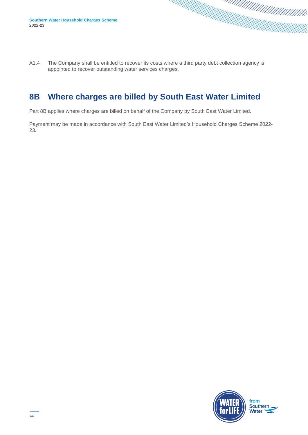A1.4 The Company shall be entitled to recover its costs where a third party debt collection agency is appointed to recover outstanding water services charges.

### <span id="page-43-0"></span>**8B Where charges are billed by South East Water Limited**

Part 8B applies where charges are billed on behalf of the Company by South East Water Limited.

Payment may be made in accordance with South East Water Limited's Household Charges Scheme 2022- 23.

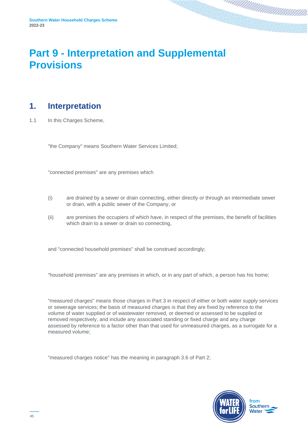## <span id="page-44-0"></span>**Part 9 - Interpretation and Supplemental Provisions**

### <span id="page-44-1"></span>**1. Interpretation**

1.1 In this Charges Scheme,

"the Company" means Southern Water Services Limited;

"connected premises" are any premises which

- (i) are drained by a sewer or drain connecting, either directly or through an intermediate sewer or drain, with a public sewer of the Company, or
- (ii) are premises the occupiers of which have, in respect of the premises, the benefit of facilities which drain to a sewer or drain so connecting.

and "connected household premises" shall be construed accordingly;

"household premises" are any premises in which, or in any part of which, a person has his home;

"measured charges" means those charges in Part 3 in respect of either or both water supply services or sewerage services; the basis of measured charges is that they are fixed by reference to the volume of water supplied or of wastewater removed, or deemed or assessed to be supplied or removed respectively, and include any associated standing or fixed charge and any charge assessed by reference to a factor other than that used for unmeasured charges, as a surrogate for a measured volume;

"measured charges notice" has the meaning in paragraph 3.6 of Part 2;

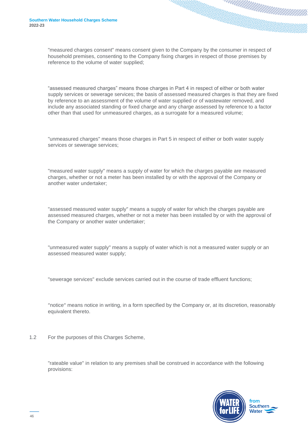"measured charges consent" means consent given to the Company by the consumer in respect of household premises, consenting to the Company fixing charges in respect of those premises by reference to the volume of water supplied;

"assessed measured charges" means those charges in Part 4 in respect of either or both water supply services or sewerage services; the basis of assessed measured charges is that they are fixed by reference to an assessment of the volume of water supplied or of wastewater removed, and include any associated standing or fixed charge and any charge assessed by reference to a factor other than that used for unmeasured charges, as a surrogate for a measured volume;

"unmeasured charges" means those charges in Part 5 in respect of either or both water supply services or sewerage services;

"measured water supply" means a supply of water for which the charges payable are measured charges, whether or not a meter has been installed by or with the approval of the Company or another water undertaker;

"assessed measured water supply" means a supply of water for which the charges payable are assessed measured charges, whether or not a meter has been installed by or with the approval of the Company or another water undertaker;

"unmeasured water supply" means a supply of water which is not a measured water supply or an assessed measured water supply;

"sewerage services" exclude services carried out in the course of trade effluent functions;

notice means notice in writing, in a form specified by the Company or, at its discretion, reasonably equivalent thereto.

1.2 For the purposes of this Charges Scheme,

"rateable value" in relation to any premises shall be construed in accordance with the following provisions:

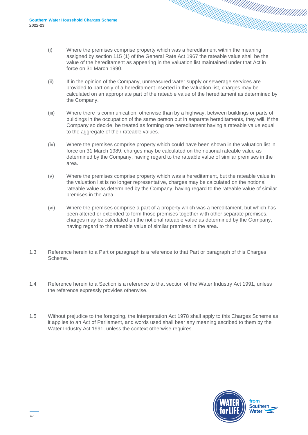- (i) Where the premises comprise property which was a hereditament within the meaning assigned by section 115 (1) of the General Rate Act 1967 the rateable value shall be the value of the hereditament as appearing in the valuation list maintained under that Act in force on 31 March 1990.
- (ii) If in the opinion of the Company, unmeasured water supply or sewerage services are provided to part only of a hereditament inserted in the valuation list, charges may be calculated on an appropriate part of the rateable value of the hereditament as determined by the Company.
- (iii) Where there is communication, otherwise than by a highway, between buildings or parts of buildings in the occupation of the same person but in separate hereditaments, they will, if the Company so decide, be treated as forming one hereditament having a rateable value equal to the aggregate of their rateable values.
- (iv) Where the premises comprise property which could have been shown in the valuation list in force on 31 March 1989, charges may be calculated on the notional rateable value as determined by the Company, having regard to the rateable value of similar premises in the area.
- (v) Where the premises comprise property which was a hereditament, but the rateable value in the valuation list is no longer representative, charges may be calculated on the notional rateable value as determined by the Company, having regard to the rateable value of similar premises in the area.
- (vi) Where the premises comprise a part of a property which was a hereditament, but which has been altered or extended to form those premises together with other separate premises, charges may be calculated on the notional rateable value as determined by the Company, having regard to the rateable value of similar premises in the area.
- 1.3 Reference herein to a Part or paragraph is a reference to that Part or paragraph of this Charges Scheme.
- 1.4 Reference herein to a Section is a reference to that section of the Water Industry Act 1991, unless the reference expressly provides otherwise.
- 1.5 Without prejudice to the foregoing, the Interpretation Act 1978 shall apply to this Charges Scheme as it applies to an Act of Parliament, and words used shall bear any meaning ascribed to them by the Water Industry Act 1991, unless the context otherwise requires.

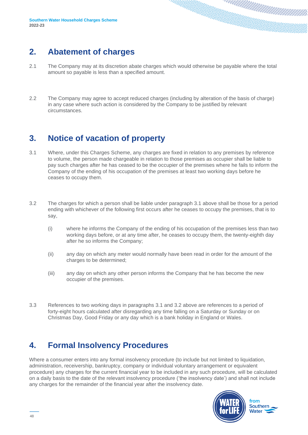### <span id="page-47-0"></span>**2. Abatement of charges**

- 2.1 The Company may at its discretion abate charges which would otherwise be payable where the total amount so payable is less than a specified amount.
- 2.2 The Company may agree to accept reduced charges (including by alteration of the basis of charge) in any case where such action is considered by the Company to be justified by relevant circumstances.

### <span id="page-47-1"></span>**3. Notice of vacation of property**

- 3.1 Where, under this Charges Scheme, any charges are fixed in relation to any premises by reference to volume, the person made chargeable in relation to those premises as occupier shall be liable to pay such charges after he has ceased to be the occupier of the premises where he fails to inform the Company of the ending of his occupation of the premises at least two working days before he ceases to occupy them.
- 3.2 The charges for which a person shall be liable under paragraph 3.1 above shall be those for a period ending with whichever of the following first occurs after he ceases to occupy the premises, that is to say,
	- (i) where he informs the Company of the ending of his occupation of the premises less than two working days before, or at any time after, he ceases to occupy them, the twenty-eighth day after he so informs the Company;
	- (ii) any day on which any meter would normally have been read in order for the amount of the charges to be determined;
	- (iii) any day on which any other person informs the Company that he has become the new occupier of the premises.
- 3.3 References to two working days in paragraphs 3.1 and 3.2 above are references to a period of forty-eight hours calculated after disregarding any time falling on a Saturday or Sunday or on Christmas Day, Good Friday or any day which is a bank holiday in England or Wales.

### <span id="page-47-2"></span>**4. Formal Insolvency Procedures**

Where a consumer enters into any formal insolvency procedure (to include but not limited to liquidation, administration, receivership, bankruptcy, company or individual voluntary arrangement or equivalent procedure) any charges for the current financial year to be included in any such procedure, will be calculated on a daily basis to the date of the relevant insolvency procedure ('the insolvency date') and shall not include any charges for the remainder of the financial year after the insolvency date.

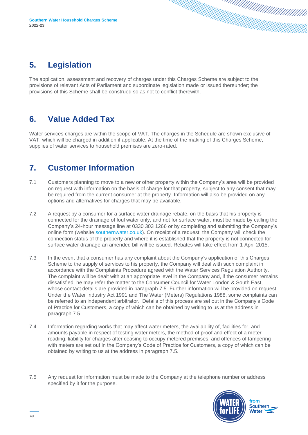### <span id="page-48-0"></span>**5. Legislation**

The application, assessment and recovery of charges under this Charges Scheme are subject to the provisions of relevant Acts of Parliament and subordinate legislation made or issued thereunder; the provisions of this Scheme shall be construed so as not to conflict therewith.

### <span id="page-48-1"></span>**6. Value Added Tax**

Water services charges are within the scope of VAT. The charges in the Schedule are shown exclusive of VAT, which will be charged in addition if applicable. At the time of the making of this Charges Scheme, supplies of water services to household premises are zero-rated.

### <span id="page-48-2"></span>**7. Customer Information**

- 7.1 Customers planning to move to a new or other property within the Company's area will be provided on request with information on the basis of charge for that property, subject to any consent that may be required from the current consumer at the property. Information will also be provided on any options and alternatives for charges that may be available.
- 7.2 A request by a consumer for a surface water drainage rebate, on the basis that his property is connected for the drainage of foul water only, and not for surface water, must be made by calling the Company's 24-hour message line at 0330 303 1266 or by completing and submitting the Company's online form (website [southernwater.co.uk\)](https://www.southernwater.co.uk/). On receipt of a request, the Company will check the connection status of the property and where it is established that the property is not connected for surface water drainage an amended bill will be issued. Rebates will take effect from 1 April 2015.
- 7.3 In the event that a consumer has any complaint about the Company's application of this Charges Scheme to the supply of services to his property, the Company will deal with such complaint in accordance with the Complaints Procedure agreed with the Water Services Regulation Authority. The complaint will be dealt with at an appropriate level in the Company and, if the consumer remains dissatisfied, he may refer the matter to the Consumer Council for Water London & South East, whose contact details are provided in paragraph 7.5. Further information will be provided on request. Under the Water Industry Act 1991 and The Water (Meters) Regulations 1988, some complaints can be referred to an independent arbitrator. Details of this process are set out in the Company's Code of Practice for Customers, a copy of which can be obtained by writing to us at the address in paragraph 7.5.
- 7.4 Information regarding works that may affect water meters, the availability of, facilities for, and amounts payable in respect of testing water meters, the method of proof and effect of a meter reading, liability for charges after ceasing to occupy metered premises, and offences of tampering with meters are set out in the Company's Code of Practice for Customers, a copy of which can be obtained by writing to us at the address in paragraph 7.5.
- 7.5 Any request for information must be made to the Company at the telephone number or address specified by it for the purpose.

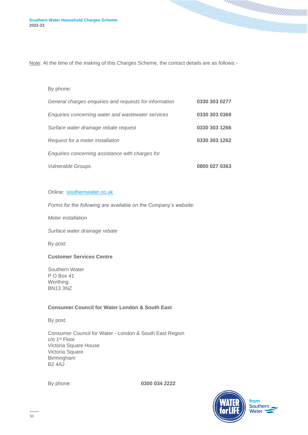Note: At the time of the making of this Charges Scheme, the contact details are as follows:-

#### By phone:

| General charges enquiries and requests for information | 0330 303 0277 |
|--------------------------------------------------------|---------------|
| Enquiries concerning water and wastewater services     | 0330 303 0368 |
| Surface water drainage rebate request                  | 0330 303 1266 |
| Request for a meter installation                       | 0330 303 1262 |
| Enquiries concerning assistance with charges for       |               |
| <b>Vulnerable Groups</b>                               | 0800 027 0363 |

#### Online: [southernwater.co.uk](https://www.southernwater.co.uk/)

*Forms for the following are available on the Company's website:*

*Meter installation*

*Surface water drainage rebate*

By post:

#### **Customer Services Centre**

Southern Water P O Box 41 Worthing BN13 3NZ

#### **Consumer Council for Water London & South East**

By post:

Consumer Council for Water - London & South East Region c/o 1st Floor Victoria Square House Victoria Square Birmingham B2 4AJ

By phone: **0300 034 2222**

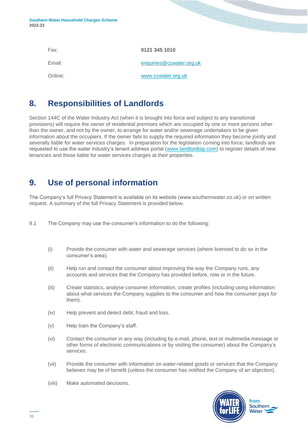| Fax:    | 0121 345 1010            |
|---------|--------------------------|
| Email:  | enquiries@ccwater.org.uk |
| Online: | www.ccwater.org.uk       |

### <span id="page-50-0"></span>**8. Responsibilities of Landlords**

Section 144C of the Water Industry Act (when it is brought into force and subject to any transitional provisions) will require the owner of residential premises which are occupied by one or more persons other than the owner, and not by the owner, to arrange for water and/or sewerage undertakers to be given information about the occupiers. If the owner fails to supply the required information they become jointly and severally liable for water services charges. In preparation for the legislation coming into force, landlords are requested to use the water industry's tenant address portal [\(www.landlordtap.com\)](http://www.landlordtap.com/) to register details of new tenancies and those liable for water services charges at their properties.

### <span id="page-50-1"></span>**9. Use of personal information**

The Company's full Privacy Statement is available on its website (www.southernwater.co.uk) or on written request. A summary of the full Privacy Statement is provided below.

- 9.1 The Company may use the consumer's information to do the following:
	- (i) Provide the consumer with water and sewerage services (where licensed to do so in the consumer's area).
	- (ii) Help run and contact the consumer about improving the way the Company runs, any accounts and services that the Company has provided before, now or in the future.
	- (iii) Create statistics, analyse consumer information, create profiles (including using information about what services the Company supplies to the consumer and how the consumer pays for them).
	- (iv) Help prevent and detect debt, fraud and loss.
	- (v) Help train the Company's staff.
	- (vi) Contact the consumer in any way (including by e-mail, phone, text or multimedia message or other forms of electronic communications or by visiting the consumer) about the Company's services.
	- (vii) Provide the consumer with information on water-related goods or services that the Company believes may be of benefit (unless the consumer has notified the Company of an objection).
	- (viii) Make automated decisions.

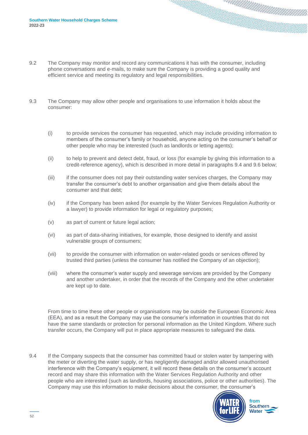- 9.2 The Company may monitor and record any communications it has with the consumer, including phone conversations and e-mails, to make sure the Company is providing a good quality and efficient service and meeting its regulatory and legal responsibilities.
- 9.3 The Company may allow other people and organisations to use information it holds about the consumer:
	- (i) to provide services the consumer has requested, which may include providing information to members of the consumer's family or household, anyone acting on the consumer's behalf or other people who may be interested (such as landlords or letting agents);
	- (ii) to help to prevent and detect debt, fraud, or loss (for example by giving this information to a credit-reference agency), which is described in more detail in paragraphs 9.4 and 9.6 below;
	- (iii) if the consumer does not pay their outstanding water services charges, the Company may transfer the consumer's debt to another organisation and give them details about the consumer and that debt;
	- (iv) if the Company has been asked (for example by the Water Services Regulation Authority or a lawyer) to provide information for legal or regulatory purposes;
	- (v) as part of current or future legal action;
	- (vi) as part of data-sharing initiatives, for example, those designed to identify and assist vulnerable groups of consumers;
	- (vii) to provide the consumer with information on water-related goods or services offered by trusted third parties (unless the consumer has notified the Company of an objection);
	- (viii) where the consumer's water supply and sewerage services are provided by the Company and another undertaker, in order that the records of the Company and the other undertaker are kept up to date.

From time to time these other people or organisations may be outside the European Economic Area (EEA), and as a result the Company may use the consumer's information in countries that do not have the same standards or protection for personal information as the United Kingdom. Where such transfer occurs, the Company will put in place appropriate measures to safeguard the data.

9.4 If the Company suspects that the consumer has committed fraud or stolen water by tampering with the meter or diverting the water supply, or has negligently damaged and/or allowed unauthorised interference with the Company's equipment, it will record these details on the consumer's account record and may share this information with the Water Services Regulation Authority and other people who are interested (such as landlords, housing associations, police or other authorities). The Company may use this information to make decisions about the consumer, the consumer's

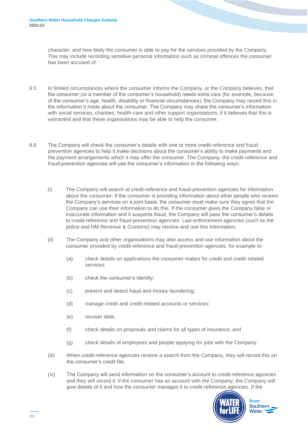character, and how likely the consumer is able to pay for the services provided by the Company. This may include recording sensitive personal information such as criminal offences the consumer has been accused of.

- 9.5 In limited circumstances where the consumer informs the Company, or the Company believes, that the consumer (or a member of the consumer's household) needs extra care (for example, because of the consumer's age, health, disability or financial circumstances), the Company may record this in the information it holds about the consumer. The Company may share the consumer's information with social services, charities, health-care and other support organisations, if it believes that this is warranted and that these organisations may be able to help the consumer.
- 9.6 The Company will check the consumer's details with one or more credit-reference and fraudprevention agencies to help it make decisions about the consumer's ability to make payments and the payment arrangements which it may offer the consumer. The Company, the credit-reference and fraud-prevention agencies will use the consumer's information in the following ways:
	- (i) The Company will search at credit-reference and fraud-prevention agencies for information about the consumer. If the consumer is providing information about other people who receive the Company's services on a joint basis, the consumer must make sure they agree that the Company can use their information to do this. If the consumer gives the Company false or inaccurate information and it suspects fraud, the Company will pass the consumer's details to credit-reference and fraud-prevention agencies. Law-enforcement agencies (such as the police and HM Revenue & Customs) may receive and use this information.
	- (ii) The Company and other organisations may also access and use information about the consumer provided by credit-reference and fraud-prevention agencies, for example to:
		- (a) check details on applications the consumer makes for credit and credit-related services;
		- (b) check the consumer's identity;
		- (c) prevent and detect fraud and money laundering;
		- (d) manage credit and credit-related accounts or services;
		- (e) recover debt;
		- (f) check details on proposals and claims for all types of insurance; and
		- (g) check details of employees and people applying for jobs with the Company.
	- (iii) When credit-reference agencies receive a search from the Company, they will record this on the consumer's credit file.
	- (iv) The Company will send information on the consumer's account to credit-reference agencies and they will record it. If the consumer has an account with the Company, the Company will give details of it and how the consumer manages it to credit-reference agencies. If the

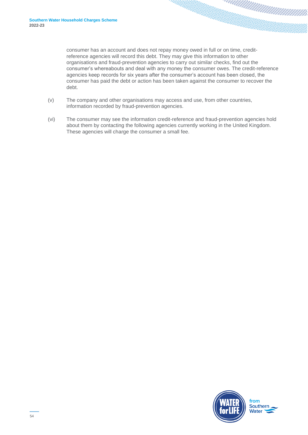consumer has an account and does not repay money owed in full or on time, creditreference agencies will record this debt. They may give this information to other organisations and fraud-prevention agencies to carry out similar checks, find out the consumer's whereabouts and deal with any money the consumer owes. The credit-reference agencies keep records for six years after the consumer's account has been closed, the consumer has paid the debt or action has been taken against the consumer to recover the debt.

- (v) The company and other organisations may access and use, from other countries, information recorded by fraud-prevention agencies.
- (vi) The consumer may see the information credit-reference and fraud-prevention agencies hold about them by contacting the following agencies currently working in the United Kingdom. These agencies will charge the consumer a small fee.

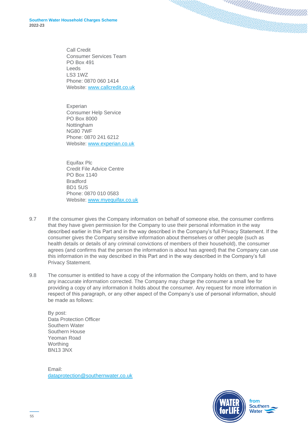Call Credit Consumer Services Team PO Box 491 Leeds LS3 1WZ Phone: 0870 060 1414 Website: [www.callcredit.co.uk](http://www.callcredit.co.uk/)

Experian Consumer Help Service PO Box 8000 Nottingham NG80 7WF Phone: 0870 241 6212 Website: [www.experian.co.uk](http://www.experian.co.uk/)

Equifax Plc Credit File Advice Centre PO Box 1140 Bradford BD1 5US Phone: 0870 010 0583 Website: [www.myequifax.co.uk](http://www.myequifax.co.uk/)

- 9.7 If the consumer gives the Company information on behalf of someone else, the consumer confirms that they have given permission for the Company to use their personal information in the way described earlier in this Part and in the way described in the Company's full Privacy Statement. If the consumer gives the Company sensitive information about themselves or other people (such as health details or details of any criminal convictions of members of their household), the consumer agrees (and confirms that the person the information is about has agreed) that the Company can use this information in the way described in this Part and in the way described in the Company's full Privacy Statement.
- 9.8 The consumer is entitled to have a copy of the information the Company holds on them, and to have any inaccurate information corrected. The Company may charge the consumer a small fee for providing a copy of any information it holds about the consumer. Any request for more information in respect of this paragraph, or any other aspect of the Company's use of personal information, should be made as follows:

By post: Data Protection Officer Southern Water Southern House Yeoman Road Worthing BN13 3NX

<span id="page-54-0"></span>Email: [dataprotection@southernwater.co.uk](mailto:dataprotection@southernwater.co.uk)

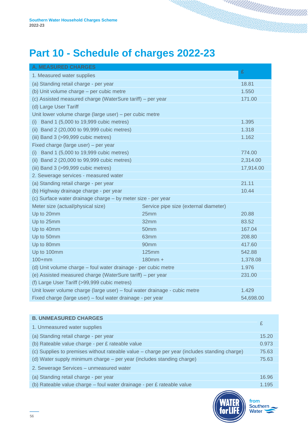## **Part 10 - Schedule of charges 2022-23**

| <b>A. MEASURED CHARGES</b>                                                |                                       |           |  |
|---------------------------------------------------------------------------|---------------------------------------|-----------|--|
| 1. Measured water supplies                                                |                                       | £         |  |
| (a) Standing retail charge - per year                                     |                                       | 18.81     |  |
| (b) Unit volume charge - per cubic metre                                  |                                       | 1.550     |  |
| (c) Assisted measured charge (WaterSure tariff) – per year                |                                       | 171.00    |  |
| (d) Large User Tariff                                                     |                                       |           |  |
| Unit lower volume charge (large user) - per cubic metre                   |                                       |           |  |
| Band 1 (5,000 to 19,999 cubic metres)<br>(i)                              |                                       | 1.395     |  |
| (ii) Band 2 (20,000 to 99,999 cubic metres)                               |                                       | 1.318     |  |
| (iii) Band 3 (>99,999 cubic metres)                                       |                                       | 1.162     |  |
| Fixed charge (large user) – per year                                      |                                       |           |  |
| Band 1 (5,000 to 19,999 cubic metres)<br>(i)                              |                                       | 774.00    |  |
| (ii) Band 2 (20,000 to 99,999 cubic metres)                               |                                       | 2,314.00  |  |
| (iii) Band 3 (>99,999 cubic metres)                                       |                                       | 17,914.00 |  |
| 2. Sewerage services - measured water                                     |                                       |           |  |
| (a) Standing retail charge - per year                                     |                                       |           |  |
| (b) Highway drainage charge - per year                                    |                                       |           |  |
| (c) Surface water drainage charge - by meter size - per year              |                                       |           |  |
| Meter size (actual/physical size)                                         | Service pipe size (external diameter) |           |  |
| Up to 20mm                                                                | 25mm                                  | 20.88     |  |
| Up to 25mm                                                                | 32mm                                  | 83.52     |  |
| Up to 40mm                                                                | 50mm                                  | 167.04    |  |
| Up to 50mm                                                                | 63mm                                  | 208.80    |  |
| Up to 80mm                                                                | 90 <sub>mm</sub>                      | 417.60    |  |
| Up to 100mm                                                               | <b>125mm</b>                          | 542.88    |  |
| $100+mm$                                                                  | $180mm +$                             | 1,378.08  |  |
| (d) Unit volume charge – foul water drainage - per cubic metre<br>1.976   |                                       |           |  |
| (e) Assisted measured charge (WaterSure tariff) - per year<br>231.00      |                                       |           |  |
| (f) Large User Tariff (>99,999 cubic metres)                              |                                       |           |  |
| Unit lower volume charge (large user) – foul water drainage - cubic metre |                                       | 1.429     |  |
| Fixed charge (large user) – foul water drainage - per year                |                                       | 54.698.00 |  |

| <b>B. UNMEASURED CHARGES</b>                                                                 |       |
|----------------------------------------------------------------------------------------------|-------|
| 1. Unmeasured water supplies                                                                 | £     |
| (a) Standing retail charge - per year                                                        | 15.20 |
| (b) Rateable value charge - per £ rateable value                                             | 0.973 |
| (c) Supplies to premises without rateable value – charge per year (includes standing charge) | 75.63 |
| (d) Water supply minimum charge – per year (includes standing charge)                        | 75.63 |
| 2. Sewerage Services - unmeasured water                                                      |       |
| (a) Standing retail charge - per year                                                        | 16.96 |
| (b) Rateable value charge - foul water drainage - per £ rateable value                       | 1.195 |



from Southern Water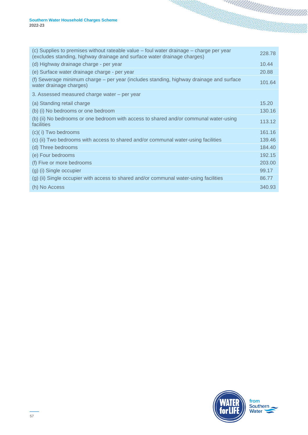| 228.78 |
|--------|
| 10.44  |
| 20.88  |
| 101.64 |
|        |
| 15.20  |
| 130.16 |
| 113.12 |
| 161.16 |
| 139.46 |
| 184.40 |
| 192.15 |
| 203.00 |
| 99.17  |
| 86.77  |
| 340.93 |
|        |

88

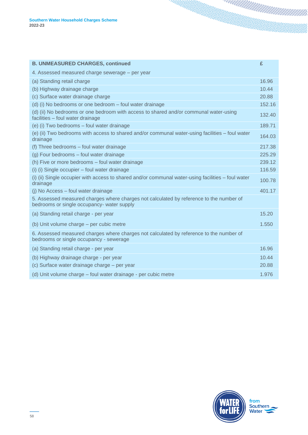| <b>B. UNMEASURED CHARGES, continued</b>                                                                                               | £      |
|---------------------------------------------------------------------------------------------------------------------------------------|--------|
| 4. Assessed measured charge sewerage - per year                                                                                       |        |
| (a) Standing retail charge                                                                                                            | 16.96  |
| (b) Highway drainage charge                                                                                                           | 10.44  |
| (c) Surface water drainage charge                                                                                                     | 20.88  |
| (d) (i) No bedrooms or one bedroom - foul water drainage                                                                              | 152.16 |
| (d) (ii) No bedrooms or one bedroom with access to shared and/or communal water-using<br>facilities - foul water drainage             | 132.40 |
| (e) (i) Two bedrooms - foul water drainage                                                                                            | 189.71 |
| (e) (ii) Two bedrooms with access to shared and/or communal water-using facilities - foul water<br>drainage                           | 164.03 |
| (f) Three bedrooms – foul water drainage                                                                                              | 217.38 |
| (g) Four bedrooms - foul water drainage                                                                                               | 225.29 |
| (h) Five or more bedrooms - foul water drainage                                                                                       | 239.12 |
| (i) (i) Single occupier - foul water drainage                                                                                         | 116.59 |
| (i) (ii) Single occupier with access to shared and/or communal water-using facilities – foul water<br>drainage                        | 100.78 |
| (j) No Access - foul water drainage                                                                                                   | 401.17 |
| 5. Assessed measured charges where charges not calculated by reference to the number of<br>bedrooms or single occupancy- water supply |        |
| (a) Standing retail charge - per year                                                                                                 | 15.20  |
| (b) Unit volume charge – per cubic metre                                                                                              | 1.550  |
| 6. Assessed measured charges where charges not calculated by reference to the number of<br>bedrooms or single occupancy - sewerage    |        |
| (a) Standing retail charge - per year                                                                                                 | 16.96  |
| (b) Highway drainage charge - per year                                                                                                | 10.44  |
| (c) Surface water drainage charge – per year                                                                                          | 20.88  |
| (d) Unit volume charge – foul water drainage - per cubic metre                                                                        | 1.976  |

١